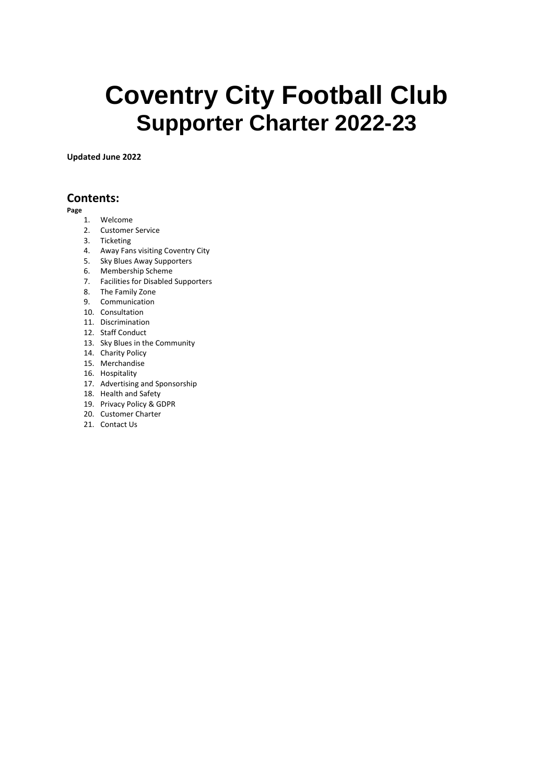# **Coventry City Football Club Supporter Charter 2022-23**

**Updated June 2022**

#### **Contents:**

**Page**

- 1. Welcome
- 2. Customer Service
- 3. Ticketing
- 4. Away Fans visiting Coventry City
- 5. Sky Blues Away Supporters
- 6. Membership Scheme
- 7. Facilities for Disabled Supporters
- 8. The Family Zone
- 9. Communication
- 10. Consultation
- 11. Discrimination
- 12. Staff Conduct
- 13. Sky Blues in the Community
- 14. Charity Policy
- 15. Merchandise
- 16. Hospitality
- 17. Advertising and Sponsorship
- 18. Health and Safety
- 19. Privacy Policy & GDPR
- 20. Customer Charter
- 21. Contact Us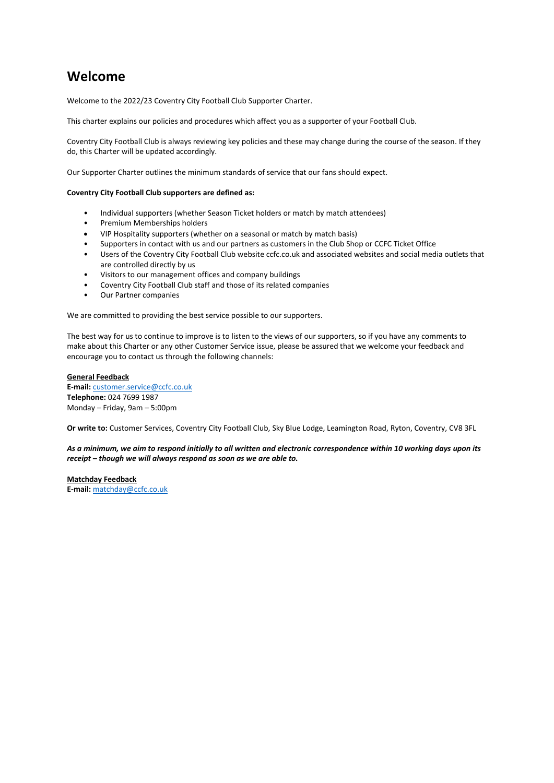### **Welcome**

Welcome to the 2022/23 Coventry City Football Club Supporter Charter.

This charter explains our policies and procedures which affect you as a supporter of your Football Club.

Coventry City Football Club is always reviewing key policies and these may change during the course of the season. If they do, this Charter will be updated accordingly.

Our Supporter Charter outlines the minimum standards of service that our fans should expect.

#### **Coventry City Football Club supporters are defined as:**

- Individual supporters (whether Season Ticket holders or match by match attendees)
- Premium Memberships holders
- VIP Hospitality supporters (whether on a seasonal or match by match basis)
- Supporters in contact with us and our partners as customers in the Club Shop or CCFC Ticket Office
- Users of the Coventry City Football Club website ccfc.co.uk and associated websites and social media outlets that are controlled directly by us
- Visitors to our management offices and company buildings
- Coventry City Football Club staff and those of its related companies
- Our Partner companies

We are committed to providing the best service possible to our supporters.

The best way for us to continue to improve is to listen to the views of our supporters, so if you have any comments to make about this Charter or any other Customer Service issue, please be assured that we welcome your feedback and encourage you to contact us through the following channels:

#### **General Feedback**

**E-mail:** [customer.service@ccfc.co.uk](mailto:customer.service@ccfc.co.uk) **Telephone:** 024 7699 1987 Monday – Friday, 9am – 5:00pm

**Or write to:** Customer Services, Coventry City Football Club, Sky Blue Lodge, Leamington Road, Ryton, Coventry, CV8 3FL

*As a minimum, we aim to respond initially to all written and electronic correspondence within 10 working days upon its receipt – though we will always respond as soon as we are able to.* 

**Matchday Feedback E-mail:** [matchday@ccfc.co.uk](mailto:matchday@ccfc.co.uk)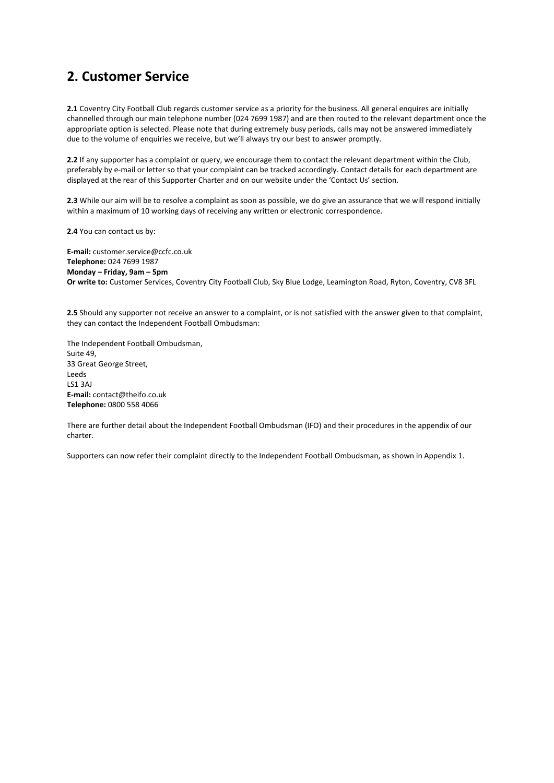### **2. Customer Service**

**2.1** Coventry City Football Club regards customer service as a priority for the business. All general enquires are initially channelled through our main telephone number (024 7699 1987) and are then routed to the relevant department once the appropriate option is selected. Please note that during extremely busy periods, calls may not be answered immediately due to the volume of enquiries we receive, but we'll always try our best to answer promptly.

**2.2** If any supporter has a complaint or query, we encourage them to contact the relevant department within the Club, preferably by e-mail or letter so that your complaint can be tracked accordingly. Contact details for each department are displayed at the rear of this Supporter Charter and on our website under the 'Contact Us' section.

**2.3** While our aim will be to resolve a complaint as soon as possible, we do give an assurance that we will respond initially within a maximum of 10 working days of receiving any written or electronic correspondence.

**2.4** You can contact us by:

**E-mail:** customer.service@ccfc.co.uk **Telephone:** 024 7699 1987 **Monday – Friday, 9am – 5pm Or write to:** Customer Services, Coventry City Football Club, Sky Blue Lodge, Leamington Road, Ryton, Coventry, CV8 3FL

**2.5** Should any supporter not receive an answer to a complaint, or is not satisfied with the answer given to that complaint, they can contact the Independent Football Ombudsman:

The Independent Football Ombudsman, Suite 49, 33 Great George Street, Leeds LS1 3AJ **E-mail:** contact@theifo.co.uk **Telephone:** 0800 558 4066

There are further detail about the Independent Football Ombudsman (IFO) and their procedures in the appendix of our charter.

Supporters can now refer their complaint directly to the Independent Football Ombudsman, as shown in Appendix 1.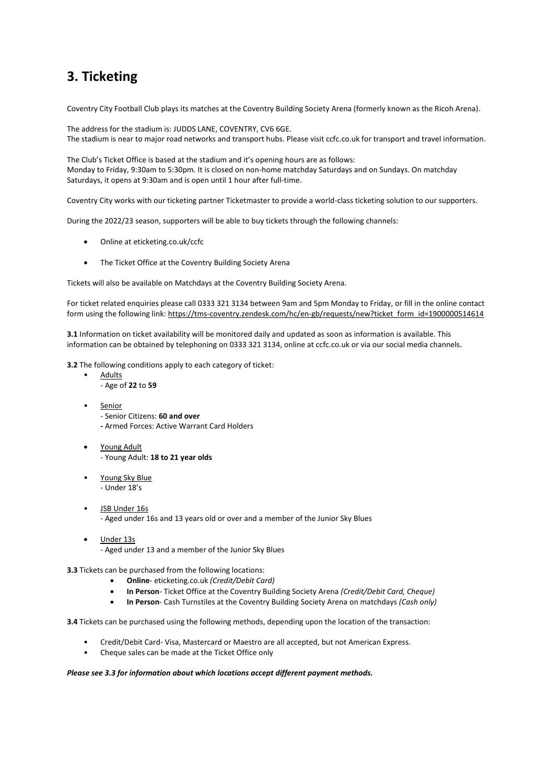# **3. Ticketing**

Coventry City Football Club plays its matches at the Coventry Building Society Arena (formerly known as the Ricoh Arena).

The address for the stadium is: JUDDS LANE, COVENTRY, CV6 6GE. The stadium is near to major road networks and transport hubs. Please visit ccfc.co.uk for transport and travel information.

The Club's Ticket Office is based at the stadium and it's opening hours are as follows: Monday to Friday, 9:30am to 5:30pm. It is closed on non-home matchday Saturdays and on Sundays. On matchday Saturdays, it opens at 9:30am and is open until 1 hour after full-time.

Coventry City works with our ticketing partner Ticketmaster to provide a world-class ticketing solution to our supporters.

During the 2022/23 season, supporters will be able to buy tickets through the following channels:

- Online at eticketing.co.uk/ccfc
- The Ticket Office at the Coventry Building Society Arena

Tickets will also be available on Matchdays at the Coventry Building Society Arena.

For ticket related enquiries please call 0333 321 3134 between 9am and 5pm Monday to Friday, or fill in the online contact form using the following link[: https://tms-coventry.zendesk.com/hc/en-gb/requests/new?ticket\\_form\\_id=1900000514614](https://tms-coventry.zendesk.com/hc/en-gb/requests/new?ticket_form_id=1900000514614)

**3.1** Information on ticket availability will be monitored daily and updated as soon as information is available. This information can be obtained by telephoning on 0333 321 3134, online at ccfc.co.uk or via our social media channels.

**3.2** The following conditions apply to each category of ticket:

- **Adults** 
	- Age of **22** to **59**
- **Senior** - Senior Citizens: **60 and over -** Armed Forces: Active Warrant Card Holders
- Young Adult - Young Adult: **18 to 21 year olds**
- Young Sky Blue - Under 18's
- JSB Under 16s - Aged under 16s and 13 years old or over and a member of the Junior Sky Blues
- Under 13s - Aged under 13 and a member of the Junior Sky Blues
- **3.3** Tickets can be purchased from the following locations:
	- **Online** eticketing.co.uk *(Credit/Debit Card)*
	- **In Person** Ticket Office at the Coventry Building Society Arena *(Credit/Debit Card, Cheque)*
	- **In Person** Cash Turnstiles at the Coventry Building Society Arena on matchdays *(Cash only)*

**3.4** Tickets can be purchased using the following methods, depending upon the location of the transaction:

- Credit/Debit Card- Visa, Mastercard or Maestro are all accepted, but not American Express.
- Cheque sales can be made at the Ticket Office only

#### *Please see 3.3 for information about which locations accept different payment methods.*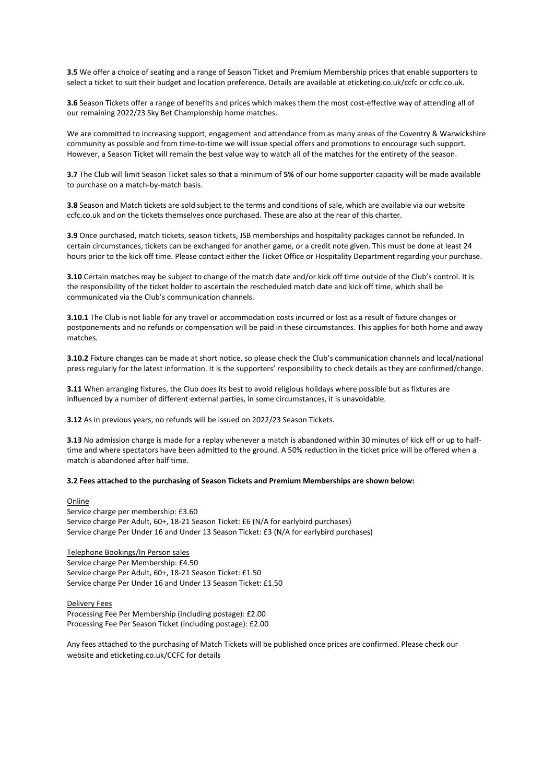**3.5** We offer a choice of seating and a range of Season Ticket and Premium Membership prices that enable supporters to select a ticket to suit their budget and location preference. Details are available at eticketing.co.uk/ccfc or ccfc.co.uk.

**3.6** Season Tickets offer a range of benefits and prices which makes them the most cost-effective way of attending all of our remaining 2022/23 Sky Bet Championship home matches.

We are committed to increasing support, engagement and attendance from as many areas of the Coventry & Warwickshire community as possible and from time-to-time we will issue special offers and promotions to encourage such support. However, a Season Ticket will remain the best value way to watch all of the matches for the entirety of the season.

**3.7** The Club will limit Season Ticket sales so that a minimum of **5%** of our home supporter capacity will be made available to purchase on a match-by-match basis.

**3.8** Season and Match tickets are sold subject to the terms and conditions of sale, which are available via our website ccfc.co.uk and on the tickets themselves once purchased. These are also at the rear of this charter.

**3.9** Once purchased, match tickets, season tickets, JSB memberships and hospitality packages cannot be refunded. In certain circumstances, tickets can be exchanged for another game, or a credit note given. This must be done at least 24 hours prior to the kick off time. Please contact either the Ticket Office or Hospitality Department regarding your purchase.

**3.10** Certain matches may be subject to change of the match date and/or kick off time outside of the Club's control. It is the responsibility of the ticket holder to ascertain the rescheduled match date and kick off time, which shall be communicated via the Club's communication channels.

**3.10.1** The Club is not liable for any travel or accommodation costs incurred or lost as a result of fixture changes or postponements and no refunds or compensation will be paid in these circumstances. This applies for both home and away matches.

**3.10.2** Fixture changes can be made at short notice, so please check the Club's communication channels and local/national press regularly for the latest information. It is the supporters' responsibility to check details as they are confirmed/change.

**3.11** When arranging fixtures, the Club does its best to avoid religious holidays where possible but as fixtures are influenced by a number of different external parties, in some circumstances, it is unavoidable.

**3.12** As in previous years, no refunds will be issued on 2022/23 Season Tickets.

**3.13** No admission charge is made for a replay whenever a match is abandoned within 30 minutes of kick off or up to halftime and where spectators have been admitted to the ground. A 50% reduction in the ticket price will be offered when a match is abandoned after half time.

#### **3.2 Fees attached to the purchasing of Season Tickets and Premium Memberships are shown below:**

#### Online

Service charge per membership: £3.60 Service charge Per Adult, 60+, 18-21 Season Ticket: £6 (N/A for earlybird purchases) Service charge Per Under 16 and Under 13 Season Ticket: £3 (N/A for earlybird purchases)

Telephone Bookings/In Person sales Service charge Per Membership: £4.50 Service charge Per Adult, 60+, 18-21 Season Ticket: £1.50 Service charge Per Under 16 and Under 13 Season Ticket: £1.50

Delivery Fees Processing Fee Per Membership (including postage): £2.00 Processing Fee Per Season Ticket (including postage): £2.00

Any fees attached to the purchasing of Match Tickets will be published once prices are confirmed. Please check our website and eticketing.co.uk/CCFC for details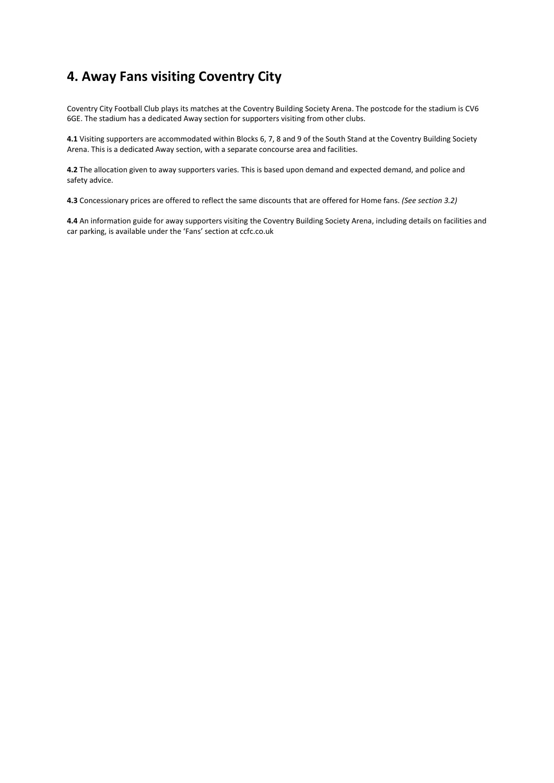# **4. Away Fans visiting Coventry City**

Coventry City Football Club plays its matches at the Coventry Building Society Arena. The postcode for the stadium is CV6 6GE. The stadium has a dedicated Away section for supporters visiting from other clubs.

**4.1** Visiting supporters are accommodated within Blocks 6, 7, 8 and 9 of the South Stand at the Coventry Building Society Arena. This is a dedicated Away section, with a separate concourse area and facilities.

**4.2** The allocation given to away supporters varies. This is based upon demand and expected demand, and police and safety advice.

**4.3** Concessionary prices are offered to reflect the same discounts that are offered for Home fans. *(See section 3.2)* 

**4.4** An information guide for away supporters visiting the Coventry Building Society Arena, including details on facilities and car parking, is available under the 'Fans' section at ccfc.co.uk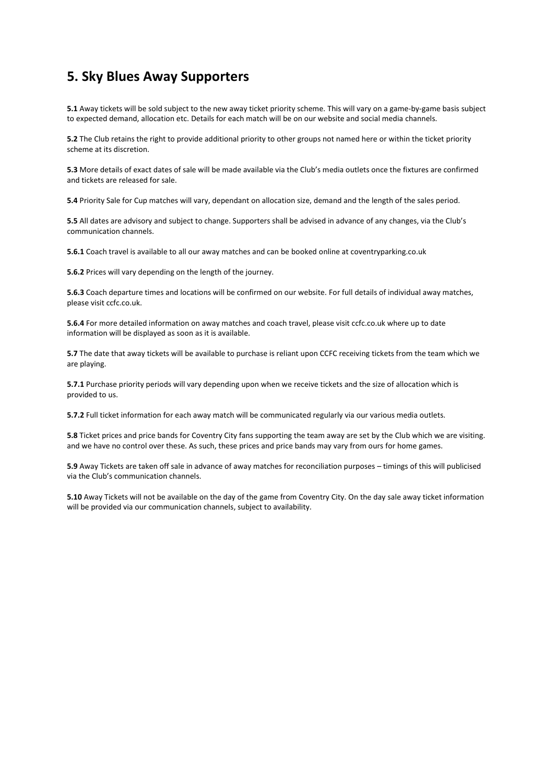### **5. Sky Blues Away Supporters**

**5.1** Away tickets will be sold subject to the new away ticket priority scheme. This will vary on a game-by-game basis subject to expected demand, allocation etc. Details for each match will be on our website and social media channels.

**5.2** The Club retains the right to provide additional priority to other groups not named here or within the ticket priority scheme at its discretion.

**5.3** More details of exact dates of sale will be made available via the Club's media outlets once the fixtures are confirmed and tickets are released for sale.

**5.4** Priority Sale for Cup matches will vary, dependant on allocation size, demand and the length of the sales period.

**5.5** All dates are advisory and subject to change. Supporters shall be advised in advance of any changes, via the Club's communication channels.

**5.6.1** Coach travel is available to all our away matches and can be booked online at coventryparking.co.uk

**5.6.2** Prices will vary depending on the length of the journey.

**5.6.3** Coach departure times and locations will be confirmed on our website. For full details of individual away matches, please visit ccfc.co.uk.

**5.6.4** For more detailed information on away matches and coach travel, please visit ccfc.co.uk where up to date information will be displayed as soon as it is available.

**5.7** The date that away tickets will be available to purchase is reliant upon CCFC receiving tickets from the team which we are playing.

**5.7.1** Purchase priority periods will vary depending upon when we receive tickets and the size of allocation which is provided to us.

**5.7.2** Full ticket information for each away match will be communicated regularly via our various media outlets.

**5.8** Ticket prices and price bands for Coventry City fans supporting the team away are set by the Club which we are visiting. and we have no control over these. As such, these prices and price bands may vary from ours for home games.

**5.9** Away Tickets are taken off sale in advance of away matches for reconciliation purposes – timings of this will publicised via the Club's communication channels.

**5.10** Away Tickets will not be available on the day of the game from Coventry City. On the day sale away ticket information will be provided via our communication channels, subject to availability.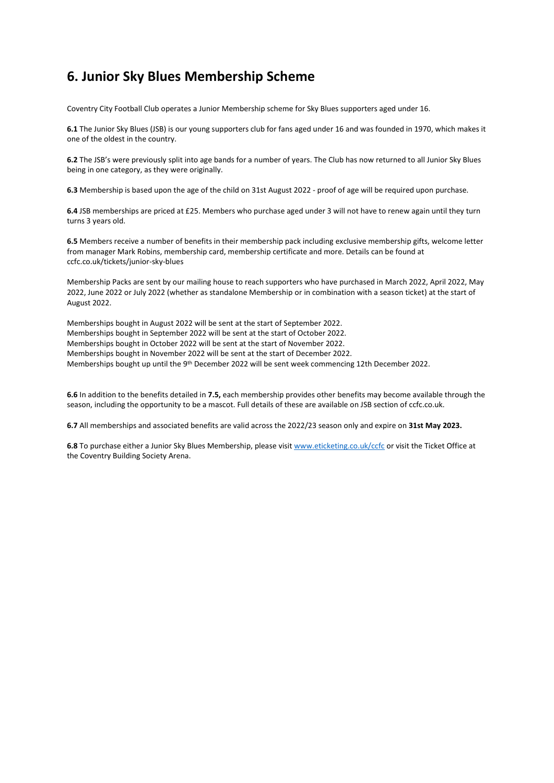# **6. Junior Sky Blues Membership Scheme**

Coventry City Football Club operates a Junior Membership scheme for Sky Blues supporters aged under 16.

**6.1** The Junior Sky Blues (JSB) is our young supporters club for fans aged under 16 and was founded in 1970, which makes it one of the oldest in the country.

**6.2** The JSB's were previously split into age bands for a number of years. The Club has now returned to all Junior Sky Blues being in one category, as they were originally.

**6.3** Membership is based upon the age of the child on 31st August 2022 - proof of age will be required upon purchase.

**6.4** JSB memberships are priced at £25. Members who purchase aged under 3 will not have to renew again until they turn turns 3 years old.

**6.5** Members receive a number of benefits in their membership pack including exclusive membership gifts, welcome letter from manager Mark Robins, membership card, membership certificate and more. Details can be found at ccfc.co.uk/tickets/junior-sky-blues

Membership Packs are sent by our mailing house to reach supporters who have purchased in March 2022, April 2022, May 2022, June 2022 or July 2022 (whether as standalone Membership or in combination with a season ticket) at the start of August 2022.

Memberships bought in August 2022 will be sent at the start of September 2022. Memberships bought in September 2022 will be sent at the start of October 2022. Memberships bought in October 2022 will be sent at the start of November 2022. Memberships bought in November 2022 will be sent at the start of December 2022. Memberships bought up until the 9<sup>th</sup> December 2022 will be sent week commencing 12th December 2022.

**6.6** In addition to the benefits detailed in **7.5,** each membership provides other benefits may become available through the season, including the opportunity to be a mascot. Full details of these are available on JSB section of ccfc.co.uk.

**6.7** All memberships and associated benefits are valid across the 2022/23 season only and expire on **31st May 2023.** 

**6.8** To purchase either a Junior Sky Blues Membership, please visi[t www.eticketing.co.uk/ccfc](http://www.eticketing.co.uk/ccfc) or visit the Ticket Office at the Coventry Building Society Arena.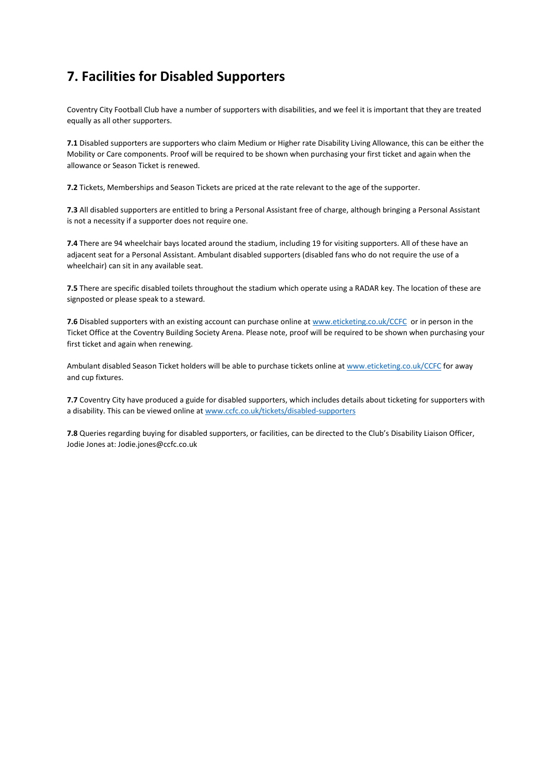# **7. Facilities for Disabled Supporters**

Coventry City Football Club have a number of supporters with disabilities, and we feel it is important that they are treated equally as all other supporters.

**7.1** Disabled supporters are supporters who claim Medium or Higher rate Disability Living Allowance, this can be either the Mobility or Care components. Proof will be required to be shown when purchasing your first ticket and again when the allowance or Season Ticket is renewed.

**7.2** Tickets, Memberships and Season Tickets are priced at the rate relevant to the age of the supporter.

**7.3** All disabled supporters are entitled to bring a Personal Assistant free of charge, although bringing a Personal Assistant is not a necessity if a supporter does not require one.

**7.4** There are 94 wheelchair bays located around the stadium, including 19 for visiting supporters. All of these have an adjacent seat for a Personal Assistant. Ambulant disabled supporters (disabled fans who do not require the use of a wheelchair) can sit in any available seat.

**7.5** There are specific disabled toilets throughout the stadium which operate using a RADAR key. The location of these are signposted or please speak to a steward.

**7.6** Disabled supporters with an existing account can purchase online at [www.eticketing.co.uk/CCFC](http://www.eticketing.co.uk/CCFC) or in person in the Ticket Office at the Coventry Building Society Arena. Please note, proof will be required to be shown when purchasing your first ticket and again when renewing.

Ambulant disabled Season Ticket holders will be able to purchase tickets online at [www.eticketing.co.uk/CCFC](http://www.eticketing.co.uk/CCFC) for away and cup fixtures.

**7.7** Coventry City have produced a guide for disabled supporters, which includes details about ticketing for supporters with a disability. This can be viewed online a[t www.ccfc.co.uk/tickets/disabled-supporters](http://www.ccfc.co.uk/tickets/disabled-supporters)

**7.8** Queries regarding buying for disabled supporters, or facilities, can be directed to the Club's Disability Liaison Officer, Jodie Jones at: Jodie.jones@ccfc.co.uk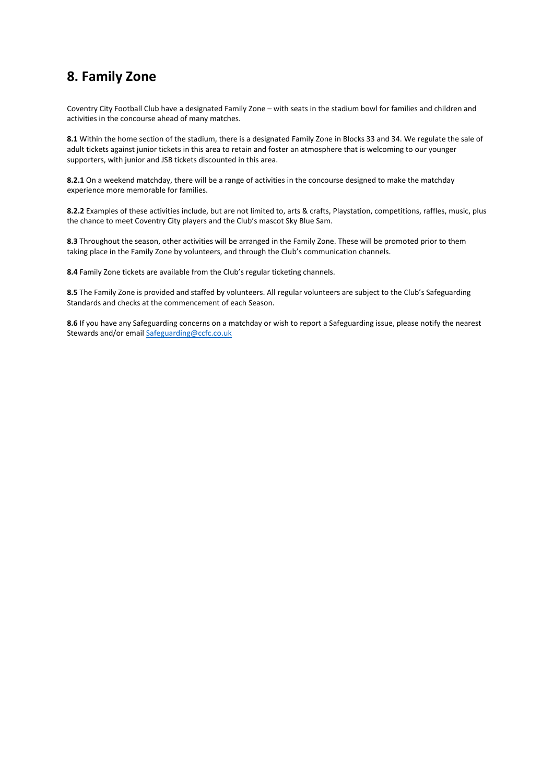### **8. Family Zone**

Coventry City Football Club have a designated Family Zone – with seats in the stadium bowl for families and children and activities in the concourse ahead of many matches.

**8.1** Within the home section of the stadium, there is a designated Family Zone in Blocks 33 and 34. We regulate the sale of adult tickets against junior tickets in this area to retain and foster an atmosphere that is welcoming to our younger supporters, with junior and JSB tickets discounted in this area.

**8.2.1** On a weekend matchday, there will be a range of activities in the concourse designed to make the matchday experience more memorable for families.

**8.2.2** Examples of these activities include, but are not limited to, arts & crafts, Playstation, competitions, raffles, music, plus the chance to meet Coventry City players and the Club's mascot Sky Blue Sam.

**8.3** Throughout the season, other activities will be arranged in the Family Zone. These will be promoted prior to them taking place in the Family Zone by volunteers, and through the Club's communication channels.

**8.4** Family Zone tickets are available from the Club's regular ticketing channels.

**8.5** The Family Zone is provided and staffed by volunteers. All regular volunteers are subject to the Club's Safeguarding Standards and checks at the commencement of each Season.

**8.6** If you have any Safeguarding concerns on a matchday or wish to report a Safeguarding issue, please notify the nearest Stewards and/or email [Safeguarding@ccfc.co.uk](mailto:Safeguarding@ccfc.co.uk)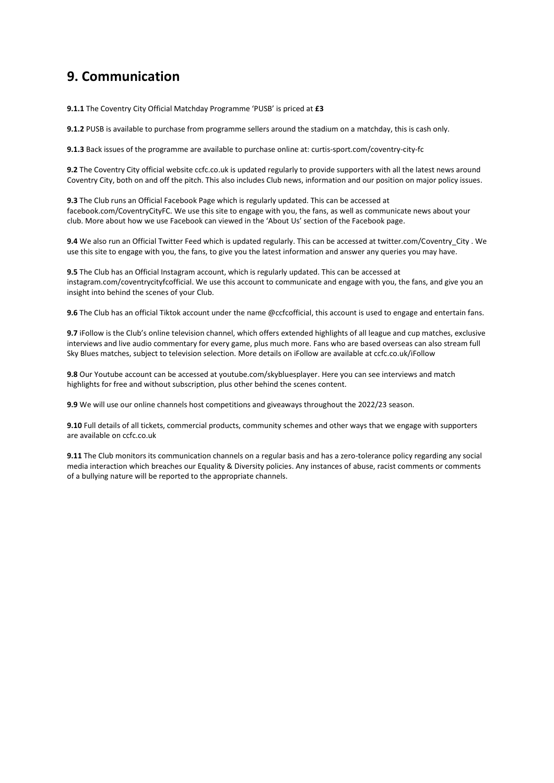### **9. Communication**

**9.1.1** The Coventry City Official Matchday Programme 'PUSB' is priced at **£3** 

**9.1.2** PUSB is available to purchase from programme sellers around the stadium on a matchday, this is cash only.

**9.1.3** Back issues of the programme are available to purchase online at: curtis-sport.com/coventry-city-fc

**9.2** The Coventry City official website ccfc.co.uk is updated regularly to provide supporters with all the latest news around Coventry City, both on and off the pitch. This also includes Club news, information and our position on major policy issues.

**9.3** The Club runs an Official Facebook Page which is regularly updated. This can be accessed at facebook.com/CoventryCityFC. We use this site to engage with you, the fans, as well as communicate news about your club. More about how we use Facebook can viewed in the 'About Us' section of the Facebook page.

**9.4** We also run an Official Twitter Feed which is updated regularly. This can be accessed at twitter.com/Coventry\_City . We use this site to engage with you, the fans, to give you the latest information and answer any queries you may have.

**9.5** The Club has an Official Instagram account, which is regularly updated. This can be accessed at instagram.com/coventrycityfcofficial. We use this account to communicate and engage with you, the fans, and give you an insight into behind the scenes of your Club.

**9.6** The Club has an official Tiktok account under the name @ccfcofficial, this account is used to engage and entertain fans.

**9.7** iFollow is the Club's online television channel, which offers extended highlights of all league and cup matches, exclusive interviews and live audio commentary for every game, plus much more. Fans who are based overseas can also stream full Sky Blues matches, subject to television selection. More details on iFollow are available at ccfc.co.uk/iFollow

**9.8** Our Youtube account can be accessed at youtube.com/skybluesplayer. Here you can see interviews and match highlights for free and without subscription, plus other behind the scenes content.

**9.9** We will use our online channels host competitions and giveaways throughout the 2022/23 season.

**9.10** Full details of all tickets, commercial products, community schemes and other ways that we engage with supporters are available on ccfc.co.uk

**9.11** The Club monitors its communication channels on a regular basis and has a zero-tolerance policy regarding any social media interaction which breaches our Equality & Diversity policies. Any instances of abuse, racist comments or comments of a bullying nature will be reported to the appropriate channels.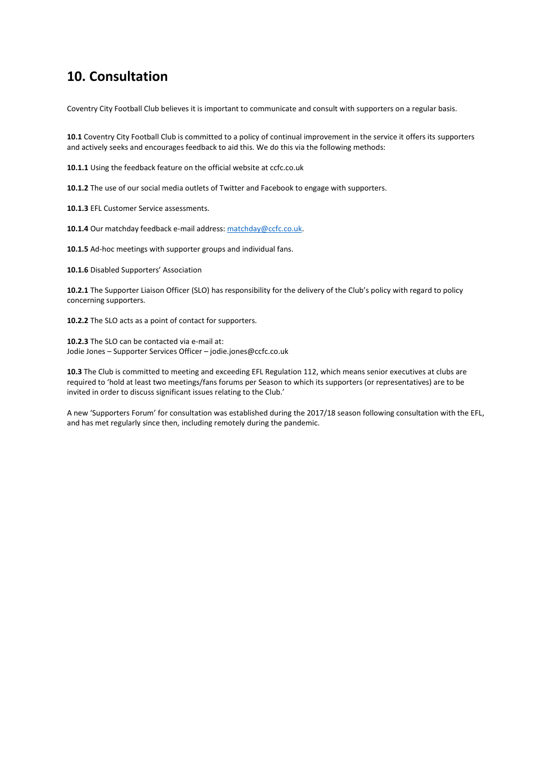### **10. Consultation**

Coventry City Football Club believes it is important to communicate and consult with supporters on a regular basis.

**10.1** Coventry City Football Club is committed to a policy of continual improvement in the service it offers its supporters and actively seeks and encourages feedback to aid this. We do this via the following methods:

**10.1.1** Using the feedback feature on the official website at ccfc.co.uk

**10.1.2** The use of our social media outlets of Twitter and Facebook to engage with supporters.

**10.1.3** EFL Customer Service assessments.

10.1.4 Our matchday feedback e-mail address: matchday@ccfc.co.uk.

**10.1.5** Ad-hoc meetings with supporter groups and individual fans.

**10.1.6** Disabled Supporters' Association

**10.2.1** The Supporter Liaison Officer (SLO) has responsibility for the delivery of the Club's policy with regard to policy concerning supporters.

**10.2.2** The SLO acts as a point of contact for supporters.

**10.2.3** The SLO can be contacted via e-mail at: Jodie Jones – Supporter Services Officer – jodie.jones@ccfc.co.uk

**10.3** The Club is committed to meeting and exceeding EFL Regulation 112, which means senior executives at clubs are required to 'hold at least two meetings/fans forums per Season to which its supporters (or representatives) are to be invited in order to discuss significant issues relating to the Club.'

A new 'Supporters Forum' for consultation was established during the 2017/18 season following consultation with the EFL, and has met regularly since then, including remotely during the pandemic.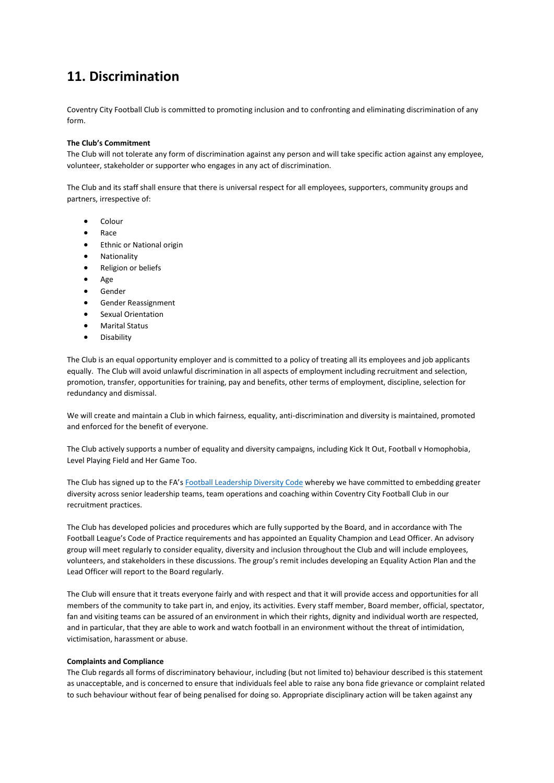# **11. Discrimination**

Coventry City Football Club is committed to promoting inclusion and to confronting and eliminating discrimination of any form.

#### **The Club's Commitment**

The Club will not tolerate any form of discrimination against any person and will take specific action against any employee, volunteer, stakeholder or supporter who engages in any act of discrimination.

The Club and its staff shall ensure that there is universal respect for all employees, supporters, community groups and partners, irrespective of:

- Colour
- Race
- Ethnic or National origin
- Nationality
- Religion or beliefs
- Age
- Gender
- Gender Reassignment
- Sexual Orientation
- Marital Status
- Disability

The Club is an equal opportunity employer and is committed to a policy of treating all its employees and job applicants equally. The Club will avoid unlawful discrimination in all aspects of employment including recruitment and selection, promotion, transfer, opportunities for training, pay and benefits, other terms of employment, discipline, selection for redundancy and dismissal.

We will create and maintain a Club in which fairness, equality, anti-discrimination and diversity is maintained, promoted and enforced for the benefit of everyone.

The Club actively supports a number of equality and diversity campaigns, including Kick It Out, Football v Homophobia, Level Playing Field and Her Game Too.

The Club has signed up to the FA's [Football Leadership Diversity Code](https://www.ccfc.co.uk/news/2020/october/news-fa-launches-football-leadership-diversity-code-to-drive-diversity--inclusion-across-the-english-game/) whereby we have committed to embedding greater diversity across senior leadership teams, team operations and coaching within Coventry City Football Club in our recruitment practices.

The Club has developed policies and procedures which are fully supported by the Board, and in accordance with The Football League's Code of Practice requirements and has appointed an Equality Champion and Lead Officer. An advisory group will meet regularly to consider equality, diversity and inclusion throughout the Club and will include employees, volunteers, and stakeholders in these discussions. The group's remit includes developing an Equality Action Plan and the Lead Officer will report to the Board regularly.

The Club will ensure that it treats everyone fairly and with respect and that it will provide access and opportunities for all members of the community to take part in, and enjoy, its activities. Every staff member, Board member, official, spectator, fan and visiting teams can be assured of an environment in which their rights, dignity and individual worth are respected, and in particular, that they are able to work and watch football in an environment without the threat of intimidation, victimisation, harassment or abuse.

#### **Complaints and Compliance**

The Club regards all forms of discriminatory behaviour, including (but not limited to) behaviour described is this statement as unacceptable, and is concerned to ensure that individuals feel able to raise any bona fide grievance or complaint related to such behaviour without fear of being penalised for doing so. Appropriate disciplinary action will be taken against any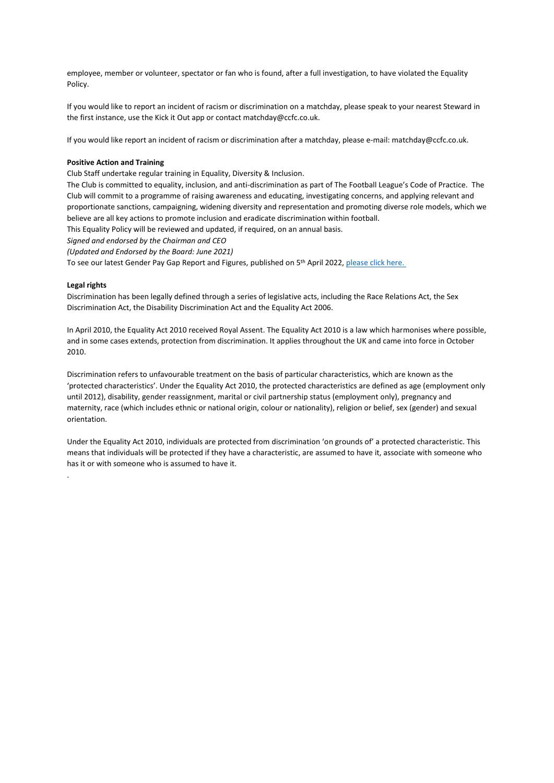employee, member or volunteer, spectator or fan who is found, after a full investigation, to have violated the Equality Policy.

If you would like to report an incident of racism or discrimination on a matchday, please speak to your nearest Steward in the first instance, use the Kick it Out app or contact matchday@ccfc.co.uk.

If you would like report an incident of racism or discrimination after a matchday, please e-mail: matchday@ccfc.co.uk.

#### **Positive Action and Training**

Club Staff undertake regular training in Equality, Diversity & Inclusion.

The Club is committed to equality, inclusion, and anti-discrimination as part of The Football League's Code of Practice. The Club will commit to a programme of raising awareness and educating, investigating concerns, and applying relevant and proportionate sanctions, campaigning, widening diversity and representation and promoting diverse role models, which we believe are all key actions to promote inclusion and eradicate discrimination within football.

This Equality Policy will be reviewed and updated, if required, on an annual basis.

*Signed and endorsed by the Chairman and CEO* 

*(Updated and Endorsed by the Board: June 2021)*

To see our latest Gender Pay Gap Report and Figures, published on 5<sup>th</sup> April 2022, [please click here.](https://www.ccfc.co.uk/contentassets/ce83572d2889485982fd8f8525014a8f/gender-pay-gap-statement-04.04.19.pdf)

#### **Legal rights**

.

Discrimination has been legally defined through a series of legislative acts, including the Race Relations Act, the Sex Discrimination Act, the Disability Discrimination Act and the Equality Act 2006.

In April 2010, the Equality Act 2010 received Royal Assent. The Equality Act 2010 is a law which harmonises where possible, and in some cases extends, protection from discrimination. It applies throughout the UK and came into force in October 2010.

Discrimination refers to unfavourable treatment on the basis of particular characteristics, which are known as the 'protected characteristics'. Under the Equality Act 2010, the protected characteristics are defined as age (employment only until 2012), disability, gender reassignment, marital or civil partnership status (employment only), pregnancy and maternity, race (which includes ethnic or national origin, colour or nationality), religion or belief, sex (gender) and sexual orientation.

Under the Equality Act 2010, individuals are protected from discrimination 'on grounds of' a protected characteristic. This means that individuals will be protected if they have a characteristic, are assumed to have it, associate with someone who has it or with someone who is assumed to have it.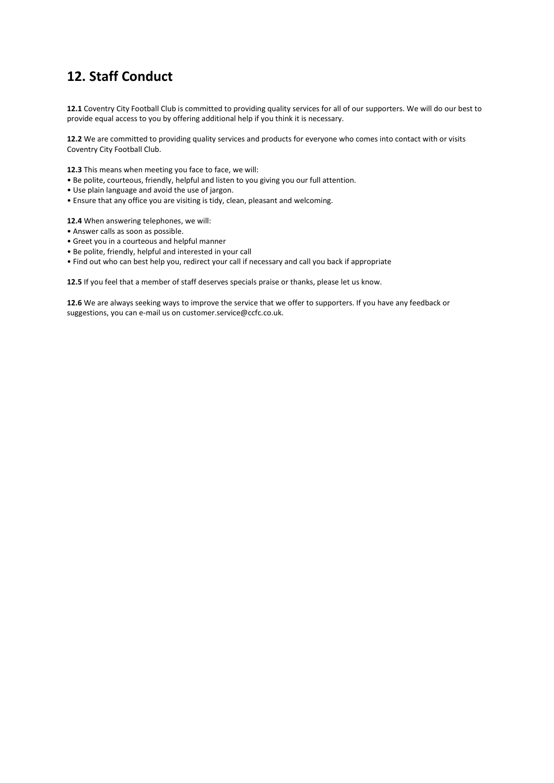# **12. Staff Conduct**

**12.1** Coventry City Football Club is committed to providing quality services for all of our supporters. We will do our best to provide equal access to you by offering additional help if you think it is necessary.

**12.2** We are committed to providing quality services and products for everyone who comes into contact with or visits Coventry City Football Club.

**12.3** This means when meeting you face to face, we will:

- Be polite, courteous, friendly, helpful and listen to you giving you our full attention.
- Use plain language and avoid the use of jargon.
- Ensure that any office you are visiting is tidy, clean, pleasant and welcoming.

**12.4** When answering telephones, we will:

- Answer calls as soon as possible.
- Greet you in a courteous and helpful manner
- Be polite, friendly, helpful and interested in your call
- Find out who can best help you, redirect your call if necessary and call you back if appropriate

**12.5** If you feel that a member of staff deserves specials praise or thanks, please let us know.

**12.6** We are always seeking ways to improve the service that we offer to supporters. If you have any feedback or suggestions, you can e-mail us on customer.service@ccfc.co.uk.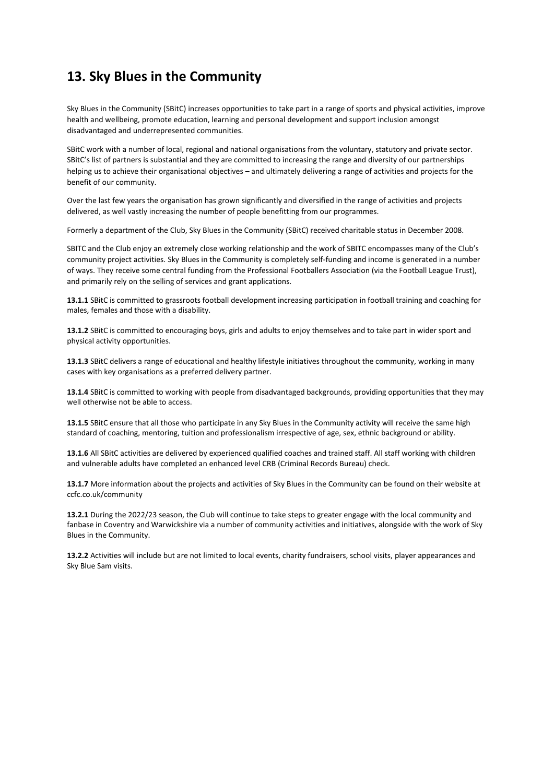### **13. Sky Blues in the Community**

Sky Blues in the Community (SBitC) increases opportunities to take part in a range of sports and physical activities, improve health and wellbeing, promote education, learning and personal development and support inclusion amongst disadvantaged and underrepresented communities.

SBitC work with a number of local, regional and national organisations from the voluntary, statutory and private sector. SBitC's list of partners is substantial and they are committed to increasing the range and diversity of our partnerships helping us to achieve their organisational objectives – and ultimately delivering a range of activities and projects for the benefit of our community.

Over the last few years the organisation has grown significantly and diversified in the range of activities and projects delivered, as well vastly increasing the number of people benefitting from our programmes.

Formerly a department of the Club, Sky Blues in the Community (SBitC) received charitable status in December 2008.

SBITC and the Club enjoy an extremely close working relationship and the work of SBITC encompasses many of the Club's community project activities. Sky Blues in the Community is completely self-funding and income is generated in a number of ways. They receive some central funding from the Professional Footballers Association (via the Football League Trust), and primarily rely on the selling of services and grant applications.

**13.1.1** SBitC is committed to grassroots football development increasing participation in football training and coaching for males, females and those with a disability.

**13.1.2** SBitC is committed to encouraging boys, girls and adults to enjoy themselves and to take part in wider sport and physical activity opportunities.

**13.1.3** SBitC delivers a range of educational and healthy lifestyle initiatives throughout the community, working in many cases with key organisations as a preferred delivery partner.

**13.1.4** SBitC is committed to working with people from disadvantaged backgrounds, providing opportunities that they may well otherwise not be able to access.

**13.1.5** SBitC ensure that all those who participate in any Sky Blues in the Community activity will receive the same high standard of coaching, mentoring, tuition and professionalism irrespective of age, sex, ethnic background or ability.

**13.1.6** All SBitC activities are delivered by experienced qualified coaches and trained staff. All staff working with children and vulnerable adults have completed an enhanced level CRB (Criminal Records Bureau) check.

**13.1.7** More information about the projects and activities of Sky Blues in the Community can be found on their website at ccfc.co.uk/community

**13.2.1** During the 2022/23 season, the Club will continue to take steps to greater engage with the local community and fanbase in Coventry and Warwickshire via a number of community activities and initiatives, alongside with the work of Sky Blues in the Community.

**13.2.2** Activities will include but are not limited to local events, charity fundraisers, school visits, player appearances and Sky Blue Sam visits.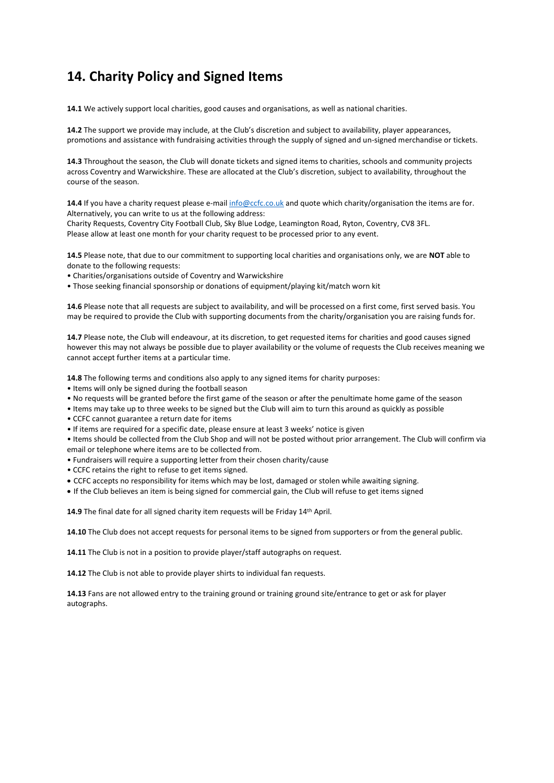# **14. Charity Policy and Signed Items**

**14.1** We actively support local charities, good causes and organisations, as well as national charities.

**14.2** The support we provide may include, at the Club's discretion and subject to availability, player appearances, promotions and assistance with fundraising activities through the supply of signed and un-signed merchandise or tickets.

**14.3** Throughout the season, the Club will donate tickets and signed items to charities, schools and community projects across Coventry and Warwickshire. These are allocated at the Club's discretion, subject to availability, throughout the course of the season.

**14.4** If you have a charity request please e-mai[l info@ccfc.co.uk](mailto:info@ccfc.co.uk) and quote which charity/organisation the items are for. Alternatively, you can write to us at the following address:

Charity Requests, Coventry City Football Club, Sky Blue Lodge, Leamington Road, Ryton, Coventry, CV8 3FL. Please allow at least one month for your charity request to be processed prior to any event.

**14.5** Please note, that due to our commitment to supporting local charities and organisations only, we are **NOT** able to donate to the following requests:

- Charities/organisations outside of Coventry and Warwickshire
- Those seeking financial sponsorship or donations of equipment/playing kit/match worn kit

**14.6** Please note that all requests are subject to availability, and will be processed on a first come, first served basis. You may be required to provide the Club with supporting documents from the charity/organisation you are raising funds for.

**14.7** Please note, the Club will endeavour, at its discretion, to get requested items for charities and good causes signed however this may not always be possible due to player availability or the volume of requests the Club receives meaning we cannot accept further items at a particular time.

**14.8** The following terms and conditions also apply to any signed items for charity purposes:

- Items will only be signed during the football season
- No requests will be granted before the first game of the season or after the penultimate home game of the season
- Items may take up to three weeks to be signed but the Club will aim to turn this around as quickly as possible
- CCFC cannot guarantee a return date for items
- If items are required for a specific date, please ensure at least 3 weeks' notice is given

• Items should be collected from the Club Shop and will not be posted without prior arrangement. The Club will confirm via email or telephone where items are to be collected from.

- Fundraisers will require a supporting letter from their chosen charity/cause
- CCFC retains the right to refuse to get items signed.
- CCFC accepts no responsibility for items which may be lost, damaged or stolen while awaiting signing.
- If the Club believes an item is being signed for commercial gain, the Club will refuse to get items signed

14.9 The final date for all signed charity item requests will be Friday 14<sup>th</sup> April.

**14.10** The Club does not accept requests for personal items to be signed from supporters or from the general public.

**14.11** The Club is not in a position to provide player/staff autographs on request.

**14.12** The Club is not able to provide player shirts to individual fan requests.

**14.13** Fans are not allowed entry to the training ground or training ground site/entrance to get or ask for player autographs.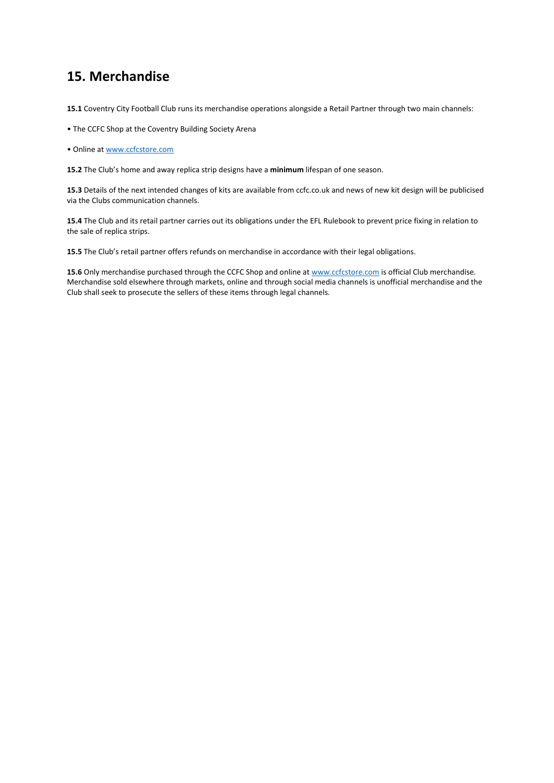### **15. Merchandise**

**15.1** Coventry City Football Club runs its merchandise operations alongside a Retail Partner through two main channels:

- The CCFC Shop at the Coventry Building Society Arena
- Online at [www.ccfcstore.com](http://www.ccfcstore.com/)

**15.2** The Club's home and away replica strip designs have a **minimum** lifespan of one season.

**15.3** Details of the next intended changes of kits are available from ccfc.co.uk and news of new kit design will be publicised via the Clubs communication channels.

**15.4** The Club and its retail partner carries out its obligations under the EFL Rulebook to prevent price fixing in relation to the sale of replica strips.

**15.5** The Club's retail partner offers refunds on merchandise in accordance with their legal obligations.

15.6 Only merchandise purchased through the CCFC Shop and online at [www.ccfcstore.com](http://www.ccfcstore.com/) is official Club merchandise. Merchandise sold elsewhere through markets, online and through social media channels is unofficial merchandise and the Club shall seek to prosecute the sellers of these items through legal channels.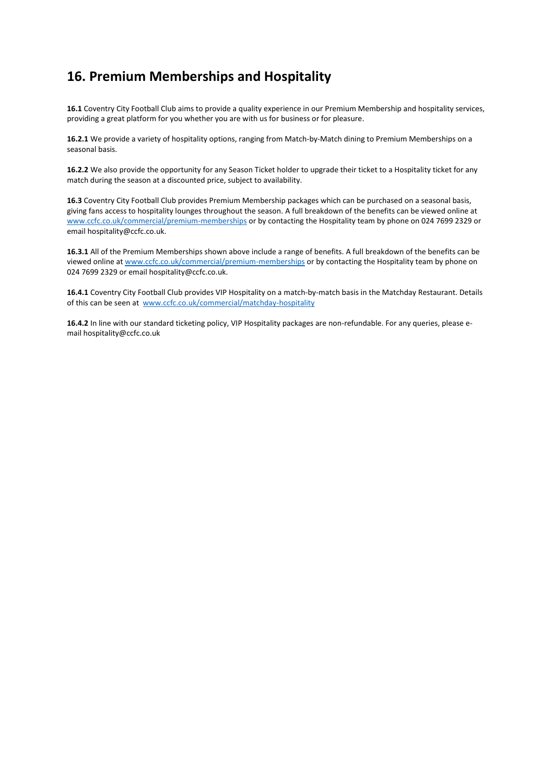### **16. Premium Memberships and Hospitality**

**16.1** Coventry City Football Club aims to provide a quality experience in our Premium Membership and hospitality services, providing a great platform for you whether you are with us for business or for pleasure.

**16.2.1** We provide a variety of hospitality options, ranging from Match-by-Match dining to Premium Memberships on a seasonal basis.

**16.2.2** We also provide the opportunity for any Season Ticket holder to upgrade their ticket to a Hospitality ticket for any match during the season at a discounted price, subject to availability.

**16.3** Coventry City Football Club provides Premium Membership packages which can be purchased on a seasonal basis, giving fans access to hospitality lounges throughout the season. A full breakdown of the benefits can be viewed online at [www.ccfc.co.uk/commercial/premium-memberships](https://www.ccfc.co.uk/commercial/premium-memberships) or by contacting the Hospitality team by phone on 024 7699 2329 or email hospitality@ccfc.co.uk.

**16.3.1** All of the Premium Memberships shown above include a range of benefits. A full breakdown of the benefits can be viewed online a[t www.ccfc.co.uk/commercial/premium-memberships](https://www.ccfc.co.uk/commercial/premium-memberships) or by contacting the Hospitality team by phone on 024 7699 2329 or email hospitality@ccfc.co.uk.

**16.4.1** Coventry City Football Club provides VIP Hospitality on a match-by-match basis in the Matchday Restaurant. Details of this can be seen at [www.ccfc.co.uk/commercial/matchday-hospitality](http://www.ccfc.co.uk/commercial/matchday-hospitality)

**16.4.2** In line with our standard ticketing policy, VIP Hospitality packages are non-refundable. For any queries, please email hospitality@ccfc.co.uk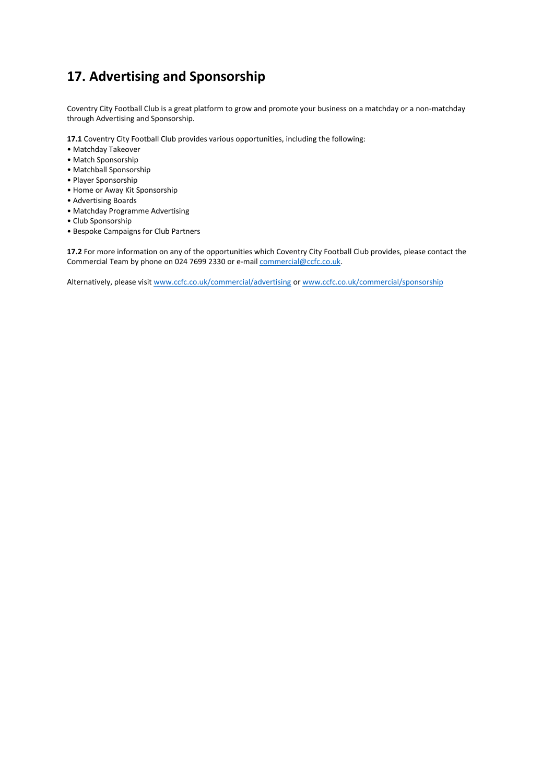# **17. Advertising and Sponsorship**

Coventry City Football Club is a great platform to grow and promote your business on a matchday or a non-matchday through Advertising and Sponsorship.

**17.1** Coventry City Football Club provides various opportunities, including the following:

- Matchday Takeover
- Match Sponsorship
- Matchball Sponsorship
- Player Sponsorship
- Home or Away Kit Sponsorship
- Advertising Boards
- Matchday Programme Advertising
- Club Sponsorship
- Bespoke Campaigns for Club Partners

**17.2** For more information on any of the opportunities which Coventry City Football Club provides, please contact the Commercial Team by phone on 024 7699 2330 or e-mai[l commercial@ccfc.co.uk.](mailto:commercial@ccfc.co.uk)

Alternatively, please visi[t www.ccfc.co.uk/commercial/advertising](https://www.ccfc.co.uk/commercial/advertising/) o[r www.ccfc.co.uk/commercial/sponsorship](http://www.ccfc.co.uk/commercial/sponsorship)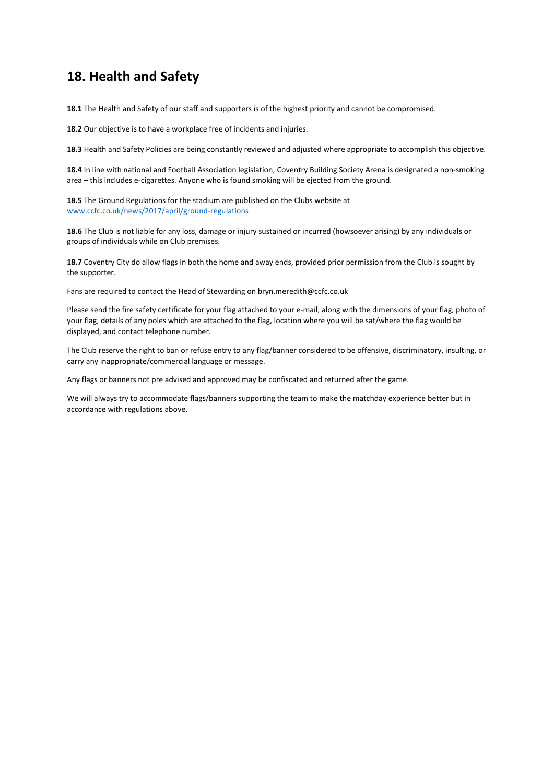### **18. Health and Safety**

**18.1** The Health and Safety of our staff and supporters is of the highest priority and cannot be compromised.

**18.2** Our objective is to have a workplace free of incidents and injuries.

**18.3** Health and Safety Policies are being constantly reviewed and adjusted where appropriate to accomplish this objective.

**18.4** In line with national and Football Association legislation, Coventry Building Society Arena is designated a non-smoking area – this includes e-cigarettes. Anyone who is found smoking will be ejected from the ground.

**18.5** The Ground Regulations for the stadium are published on the Clubs website at [www.ccfc.co.uk/news/2017/april/ground-regulations](http://www.ccfc.co.uk/news/2017/april/ground-regulations)

**18.6** The Club is not liable for any loss, damage or injury sustained or incurred (howsoever arising) by any individuals or groups of individuals while on Club premises.

**18.7** Coventry City do allow flags in both the home and away ends, provided prior permission from the Club is sought by the supporter.

Fans are required to contact the Head of Stewarding on bryn.meredith@ccfc.co.uk

Please send the fire safety certificate for your flag attached to your e-mail, along with the dimensions of your flag, photo of your flag, details of any poles which are attached to the flag, location where you will be sat/where the flag would be displayed, and contact telephone number.

The Club reserve the right to ban or refuse entry to any flag/banner considered to be offensive, discriminatory, insulting, or carry any inappropriate/commercial language or message.

Any flags or banners not pre advised and approved may be confiscated and returned after the game.

We will always try to accommodate flags/banners supporting the team to make the matchday experience better but in accordance with regulations above.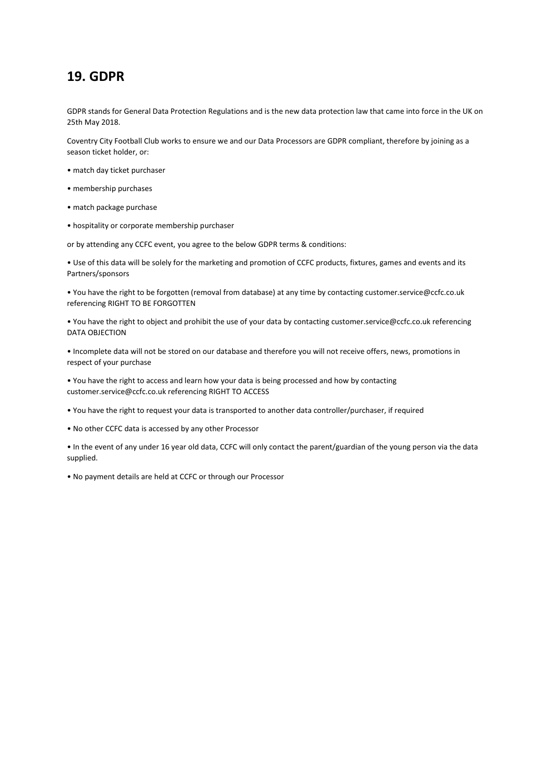### **19. GDPR**

GDPR stands for General Data Protection Regulations and is the new data protection law that came into force in the UK on 25th May 2018.

Coventry City Football Club works to ensure we and our Data Processors are GDPR compliant, therefore by joining as a season ticket holder, or:

- match day ticket purchaser
- membership purchases
- match package purchase
- hospitality or corporate membership purchaser

or by attending any CCFC event, you agree to the below GDPR terms & conditions:

• Use of this data will be solely for the marketing and promotion of CCFC products, fixtures, games and events and its Partners/sponsors

• You have the right to be forgotten (removal from database) at any time by contacting customer.service@ccfc.co.uk referencing RIGHT TO BE FORGOTTEN

• You have the right to object and prohibit the use of your data by contacting customer.service@ccfc.co.uk referencing DATA OBJECTION

• Incomplete data will not be stored on our database and therefore you will not receive offers, news, promotions in respect of your purchase

• You have the right to access and learn how your data is being processed and how by contacting customer.service@ccfc.co.uk referencing RIGHT TO ACCESS

• You have the right to request your data is transported to another data controller/purchaser, if required

• No other CCFC data is accessed by any other Processor

• In the event of any under 16 year old data, CCFC will only contact the parent/guardian of the young person via the data supplied.

• No payment details are held at CCFC or through our Processor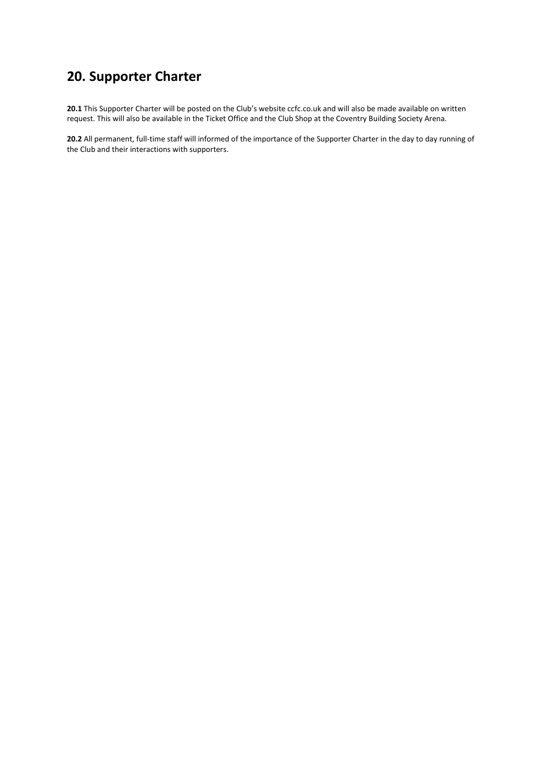# **20. Supporter Charter**

**20.1** This Supporter Charter will be posted on the Club's website ccfc.co.uk and will also be made available on written request. This will also be available in the Ticket Office and the Club Shop at the Coventry Building Society Arena.

**20.2** All permanent, full-time staff will informed of the importance of the Supporter Charter in the day to day running of the Club and their interactions with supporters.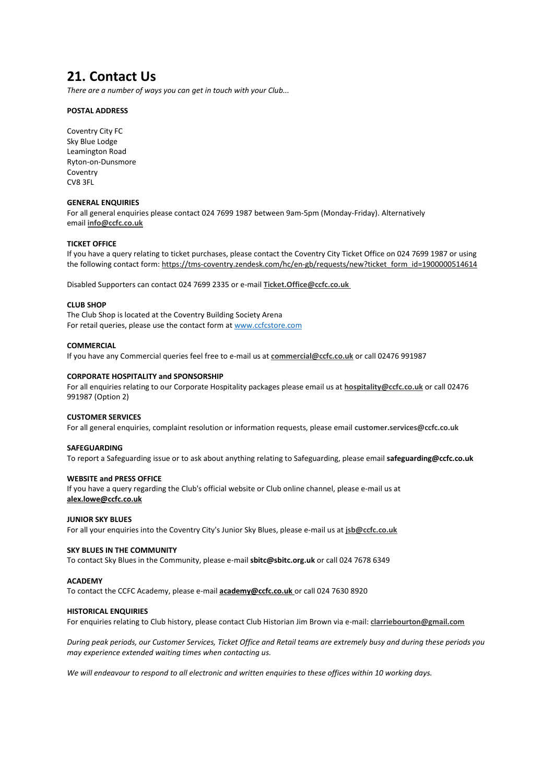### **21. Contact Us**

*There are a number of ways you can get in touch with your Club...* 

#### **POSTAL ADDRESS**

Coventry City FC Sky Blue Lodge Leamington Road Ryton-on-Dunsmore Coventry CV8 3FL

#### **GENERAL ENQUIRIES**

For all general enquiries please contact 024 7699 1987 between 9am-5pm (Monday-Friday). Alternatively email **[info@ccfc.co.uk](mailto:info@ccfc.co.uk)**

#### **TICKET OFFICE**

If you have a query relating to ticket purchases, please contact the Coventry City Ticket Office on 024 7699 1987 or using the following contact form: [https://tms-coventry.zendesk.com/hc/en-gb/requests/new?ticket\\_form\\_id=1900000514614](https://tms-coventry.zendesk.com/hc/en-gb/requests/new?ticket_form_id=1900000514614)

Disabled Supporters can contact 024 7699 2335 or e-mail **[Ticket.Office@ccfc.co.uk](mailto:Ticket.Office@ccfc.co.uk)**

#### **CLUB SHOP**

The Club Shop is located at the Coventry Building Society Arena For retail queries, please use the contact form at www.ccfcstore.com

#### **COMMERCIAL**

If you have any Commercial queries feel free to e-mail us at **[commercial@ccfc.co.uk](mailto:commercial@ccfc.co.uk)** or call 02476 991987

#### **CORPORATE HOSPITALITY and SPONSORSHIP**

For all enquiries relating to our Corporate Hospitality packages please email us at **[hospitality@ccfc.co.uk](mailto:hospitality@ccfc.co.uk)** or call 02476 991987 (Option 2)

#### **CUSTOMER SERVICES**

For all general enquiries, complaint resolution or information requests, please email **[customer.services@ccfc.co.uk](mailto:customer.services@ccfc.co.uk)**

#### **SAFEGUARDING**

To report a Safeguarding issue or to ask about anything relating to Safeguarding, please email **safeguarding@ccfc.co.uk**

#### **WEBSITE and PRESS OFFICE**

If you have a query regarding the Club's official website or Club online channel, please e-mail us at **[alex.lowe@ccfc.co.uk](mailto:alex.lowe@ccfc.co.uk)**

#### **JUNIOR SKY BLUES**

For all your enquiries into the Coventry City's Junior Sky Blues, please e-mail us at **[jsb@ccfc.co.uk](mailto:jsb@ccfc.co.uk)**

#### **SKY BLUES IN THE COMMUNITY**

To contact Sky Blues in the Community, please e-mail **sbitc@sbitc.org.uk** or call 024 7678 6349

#### **ACADEMY**

To contact the CCFC Academy, please e-mail **[academy@](mailto:academy@ccfc.co.uk)ccfc.co.uk** or call 024 7630 8920

#### **HISTORICAL ENQUIRIES**

For enquiries relating to Club history, please contact Club Historian Jim Brown via e-mail: **[clarriebourton@gmail.com](mailto:clarriebourton@gmail.com)**

*During peak periods, our Customer Services, Ticket Office and Retail teams are extremely busy and during these periods you may experience extended waiting times when contacting us.*

*We will endeavour to respond to all electronic and written enquiries to these offices within 10 working days.*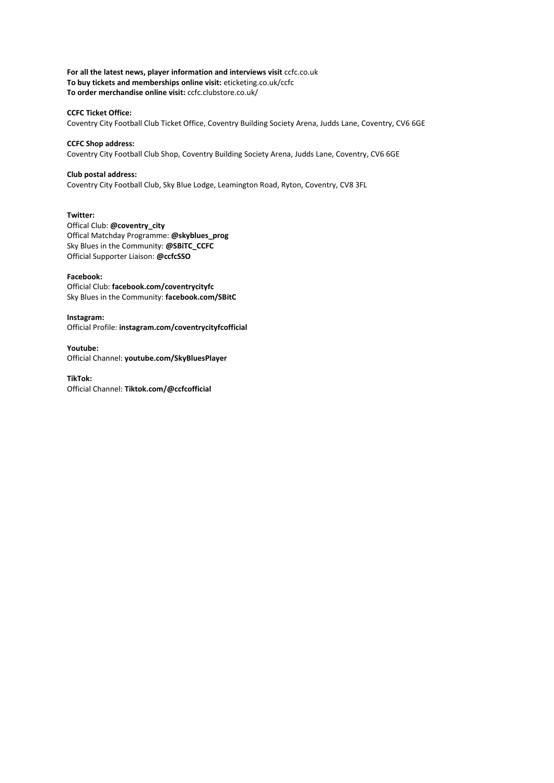**For all the latest news, player information and interviews visit** ccfc.co.uk **To buy tickets and memberships online visit:** eticketing.co.uk/ccfc **To order merchandise online visit:** ccfc.clubstore.co.uk/

#### **CCFC Ticket Office:**

Coventry City Football Club Ticket Office, Coventry Building Society Arena, Judds Lane, Coventry, CV6 6GE

#### **CCFC Shop address:**

Coventry City Football Club Shop, Coventry Building Society Arena, Judds Lane, Coventry, CV6 6GE

#### **Club postal address:**

Coventry City Football Club, Sky Blue Lodge, Leamington Road, Ryton, Coventry, CV8 3FL

#### **Twitter:**

Offical Club: **@coventry\_city**  Offical Matchday Programme: **@skyblues\_prog** Sky Blues in the Community: **@SBiTC\_CCFC**  Official Supporter Liaison: **@ccfcSSO**

#### **Facebook:**

Official Club: **facebook.com/coventrycityfc**  Sky Blues in the Community: **facebook.com/SBitC** 

#### **Instagram:**

Official Profile: **instagram.com/coventrycityfcofficial** 

**Youtube:**  Official Channel: **youtube.com/SkyBluesPlayer** 

**TikTok:**

Official Channel: **Tiktok.com/@ccfcofficial**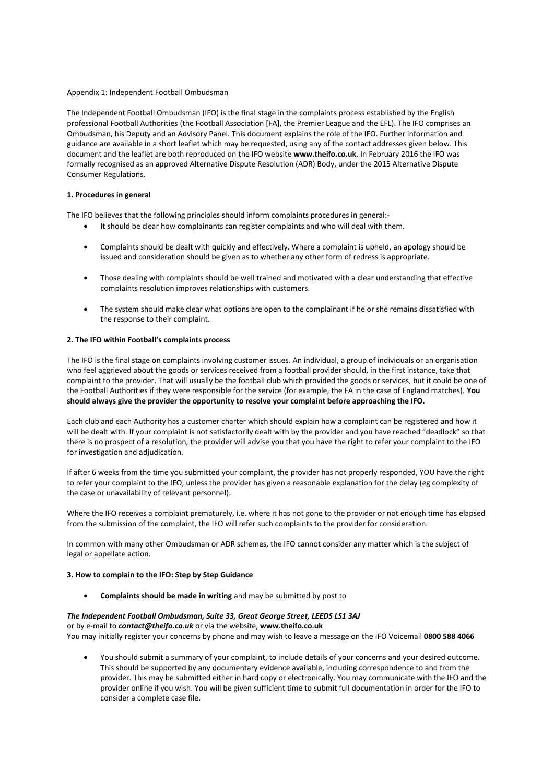#### Appendix 1: Independent Football Ombudsman

The Independent Football Ombudsman (IFO) is the final stage in the complaints process established by the English professional Football Authorities (the Football Association [FA], the Premier League and the EFL). The IFO comprises an Ombudsman, his Deputy and an Advisory Panel. This document explains the role of the IFO. Further information and guidance are available in a short leaflet which may be requested, using any of the contact addresses given below. This document and the leaflet are both reproduced on the IFO website **www.theifo.co.uk**. In February 2016 the IFO was formally recognised as an approved Alternative Dispute Resolution (ADR) Body, under the 2015 Alternative Dispute Consumer Regulations.

#### **1. Procedures in general**

The IFO believes that the following principles should inform complaints procedures in general:-

- It should be clear how complainants can register complaints and who will deal with them.
- Complaints should be dealt with quickly and effectively. Where a complaint is upheld, an apology should be issued and consideration should be given as to whether any other form of redress is appropriate.
- Those dealing with complaints should be well trained and motivated with a clear understanding that effective complaints resolution improves relationships with customers.
- The system should make clear what options are open to the complainant if he or she remains dissatisfied with the response to their complaint.

#### **2. The IFO within Football's complaints process**

The IFO is the final stage on complaints involving customer issues. An individual, a group of individuals or an organisation who feel aggrieved about the goods or services received from a football provider should, in the first instance, take that complaint to the provider. That will usually be the football club which provided the goods or services, but it could be one of the Football Authorities if they were responsible for the service (for example, the FA in the case of England matches). **You should always give the provider the opportunity to resolve your complaint before approaching the IFO.** 

Each club and each Authority has a customer charter which should explain how a complaint can be registered and how it will be dealt with. If your complaint is not satisfactorily dealt with by the provider and you have reached "deadlock" so that there is no prospect of a resolution, the provider will advise you that you have the right to refer your complaint to the IFO for investigation and adjudication.

If after 6 weeks from the time you submitted your complaint, the provider has not properly responded, YOU have the right to refer your complaint to the IFO, unless the provider has given a reasonable explanation for the delay (eg complexity of the case or unavailability of relevant personnel).

Where the IFO receives a complaint prematurely, i.e. where it has not gone to the provider or not enough time has elapsed from the submission of the complaint, the IFO will refer such complaints to the provider for consideration.

In common with many other Ombudsman or ADR schemes, the IFO cannot consider any matter which is the subject of legal or appellate action.

#### **3. How to complain to the IFO: Step by Step Guidance**

• **Complaints should be made in writing** and may be submitted by post to

#### *The Independent Football Ombudsman, Suite 33, Great George Street, LEEDS LS1 3AJ*

or by e-mail to *contact@theifo.co.uk* or via the website, **www.theifo.co.uk**  You may initially register your concerns by phone and may wish to leave a message on the IFO Voicemail **0800 588 4066** 

• You should submit a summary of your complaint, to include details of your concerns and your desired outcome. This should be supported by any documentary evidence available, including correspondence to and from the provider. This may be submitted either in hard copy or electronically. You may communicate with the IFO and the provider online if you wish. You will be given sufficient time to submit full documentation in order for the IFO to consider a complete case file.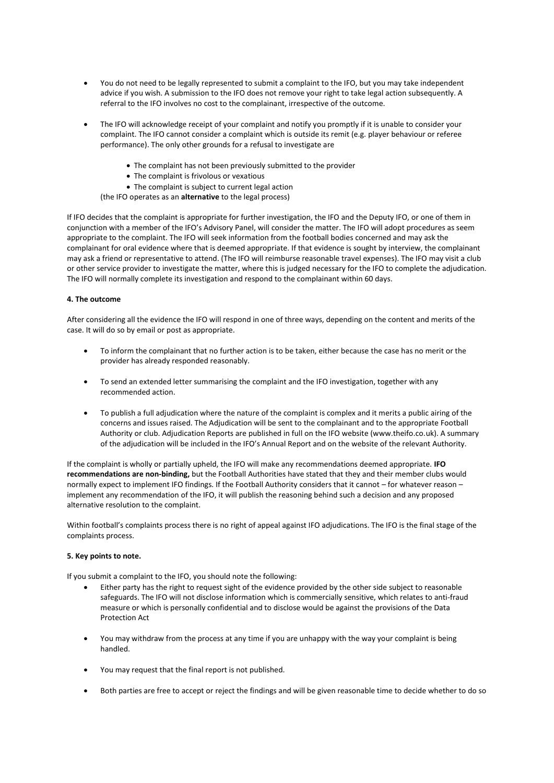- You do not need to be legally represented to submit a complaint to the IFO, but you may take independent advice if you wish. A submission to the IFO does not remove your right to take legal action subsequently. A referral to the IFO involves no cost to the complainant, irrespective of the outcome.
- The IFO will acknowledge receipt of your complaint and notify you promptly if it is unable to consider your complaint. The IFO cannot consider a complaint which is outside its remit (e.g. player behaviour or referee performance). The only other grounds for a refusal to investigate are
	- The complaint has not been previously submitted to the provider
	- The complaint is frivolous or vexatious
	- The complaint is subject to current legal action
	- (the IFO operates as an **alternative** to the legal process)

If IFO decides that the complaint is appropriate for further investigation, the IFO and the Deputy IFO, or one of them in conjunction with a member of the IFO's Advisory Panel, will consider the matter. The IFO will adopt procedures as seem appropriate to the complaint. The IFO will seek information from the football bodies concerned and may ask the complainant for oral evidence where that is deemed appropriate. If that evidence is sought by interview, the complainant may ask a friend or representative to attend. (The IFO will reimburse reasonable travel expenses). The IFO may visit a club or other service provider to investigate the matter, where this is judged necessary for the IFO to complete the adjudication. The IFO will normally complete its investigation and respond to the complainant within 60 days.

#### **4. The outcome**

After considering all the evidence the IFO will respond in one of three ways, depending on the content and merits of the case. It will do so by email or post as appropriate.

- To inform the complainant that no further action is to be taken, either because the case has no merit or the provider has already responded reasonably.
- To send an extended letter summarising the complaint and the IFO investigation, together with any recommended action.
- To publish a full adjudication where the nature of the complaint is complex and it merits a public airing of the concerns and issues raised. The Adjudication will be sent to the complainant and to the appropriate Football Authority or club. Adjudication Reports are published in full on the IFO website (www.theifo.co.uk). A summary of the adjudication will be included in the IFO's Annual Report and on the website of the relevant Authority.

If the complaint is wholly or partially upheld, the IFO will make any recommendations deemed appropriate. **IFO recommendations are non-binding,** but the Football Authorities have stated that they and their member clubs would normally expect to implement IFO findings. If the Football Authority considers that it cannot – for whatever reason – implement any recommendation of the IFO, it will publish the reasoning behind such a decision and any proposed alternative resolution to the complaint.

Within football's complaints process there is no right of appeal against IFO adjudications. The IFO is the final stage of the complaints process.

#### **5. Key points to note.**

If you submit a complaint to the IFO, you should note the following:

- Either party has the right to request sight of the evidence provided by the other side subject to reasonable safeguards. The IFO will not disclose information which is commercially sensitive, which relates to anti-fraud measure or which is personally confidential and to disclose would be against the provisions of the Data Protection Act
- You may withdraw from the process at any time if you are unhappy with the way your complaint is being handled.
- You may request that the final report is not published.
- Both parties are free to accept or reject the findings and will be given reasonable time to decide whether to do so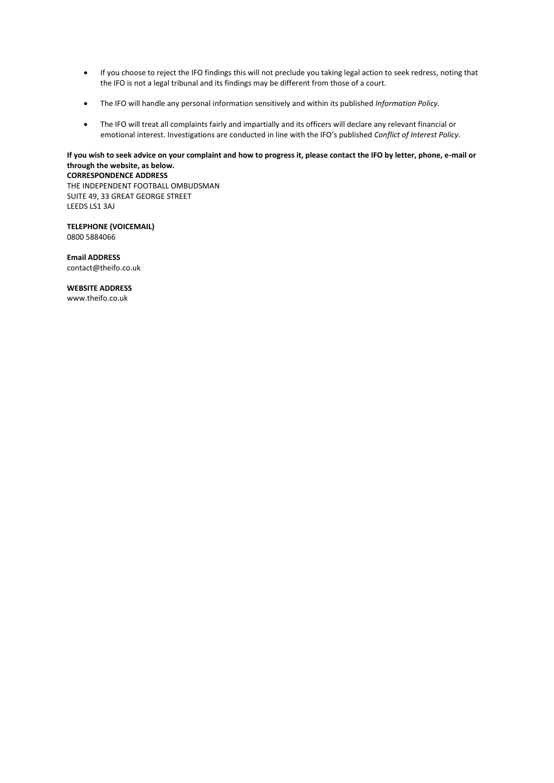- If you choose to reject the IFO findings this will not preclude you taking legal action to seek redress, noting that the IFO is not a legal tribunal and its findings may be different from those of a court.
- The IFO will handle any personal information sensitively and within its published *Information Policy.*
- The IFO will treat all complaints fairly and impartially and its officers will declare any relevant financial or emotional interest. Investigations are conducted in line with the IFO's published *Conflict of Interest Policy.*

#### **If you wish to seek advice on your complaint and how to progress it, please contact the IFO by letter, phone, e-mail or through the website, as below. CORRESPONDENCE ADDRESS**

THE INDEPENDENT FOOTBALL OMBUDSMAN SUITE 49, 33 GREAT GEORGE STREET LEEDS LS1 3AJ

**TELEPHONE (VOICEMAIL)**  0800 5884066

**Email ADDRESS**  contact@theifo.co.uk

**WEBSITE ADDRESS**  www.theifo.co.uk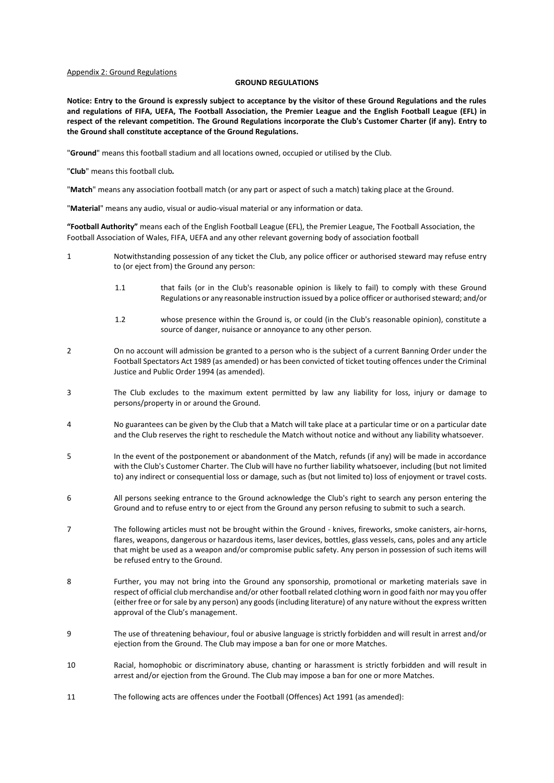#### Appendix 2: Ground Regulations

#### **GROUND REGULATIONS**

**Notice: Entry to the Ground is expressly subject to acceptance by the visitor of these Ground Regulations and the rules and regulations of FIFA, UEFA, The Football Association, the Premier League and the English Football League (EFL) in respect of the relevant competition. The Ground Regulations incorporate the Club's Customer Charter (if any). Entry to the Ground shall constitute acceptance of the Ground Regulations.**

"**Ground**" means this football stadium and all locations owned, occupied or utilised by the Club.

"**Club**" means this football club*.*

"**Match**" means any association football match (or any part or aspect of such a match) taking place at the Ground.

"**Material**" means any audio, visual or audio-visual material or any information or data.

**"Football Authority"** means each of the English Football League (EFL), the Premier League, The Football Association, the Football Association of Wales, FIFA, UEFA and any other relevant governing body of association football

- 1 Notwithstanding possession of any ticket the Club, any police officer or authorised steward may refuse entry to (or eject from) the Ground any person:
	- 1.1 that fails (or in the Club's reasonable opinion is likely to fail) to comply with these Ground Regulations or any reasonable instruction issued by a police officer or authorised steward; and/or
	- 1.2 whose presence within the Ground is, or could (in the Club's reasonable opinion), constitute a source of danger, nuisance or annoyance to any other person.
- 2 On no account will admission be granted to a person who is the subject of a current Banning Order under the Football Spectators Act 1989 (as amended) or has been convicted of ticket touting offences under the Criminal Justice and Public Order 1994 (as amended).
- 3 The Club excludes to the maximum extent permitted by law any liability for loss, injury or damage to persons/property in or around the Ground.
- 4 No guarantees can be given by the Club that a Match will take place at a particular time or on a particular date and the Club reserves the right to reschedule the Match without notice and without any liability whatsoever.
- 5 In the event of the postponement or abandonment of the Match, refunds (if any) will be made in accordance with the Club's Customer Charter. The Club will have no further liability whatsoever, including (but not limited to) any indirect or consequential loss or damage, such as (but not limited to) loss of enjoyment or travel costs.
- 6 All persons seeking entrance to the Ground acknowledge the Club's right to search any person entering the Ground and to refuse entry to or eject from the Ground any person refusing to submit to such a search.
- 7 The following articles must not be brought within the Ground knives, fireworks, smoke canisters, air-horns, flares, weapons, dangerous or hazardous items, laser devices, bottles, glass vessels, cans, poles and any article that might be used as a weapon and/or compromise public safety. Any person in possession of such items will be refused entry to the Ground.
- 8 Further, you may not bring into the Ground any sponsorship, promotional or marketing materials save in respect of official club merchandise and/or other football related clothing worn in good faith nor may you offer (either free or for sale by any person) any goods (including literature) of any nature without the express written approval of the Club's management.
- 9 The use of threatening behaviour, foul or abusive language is strictly forbidden and will result in arrest and/or ejection from the Ground. The Club may impose a ban for one or more Matches.
- 10 Racial, homophobic or discriminatory abuse, chanting or harassment is strictly forbidden and will result in arrest and/or ejection from the Ground. The Club may impose a ban for one or more Matches.
- 11 The following acts are offences under the Football (Offences) Act 1991 (as amended):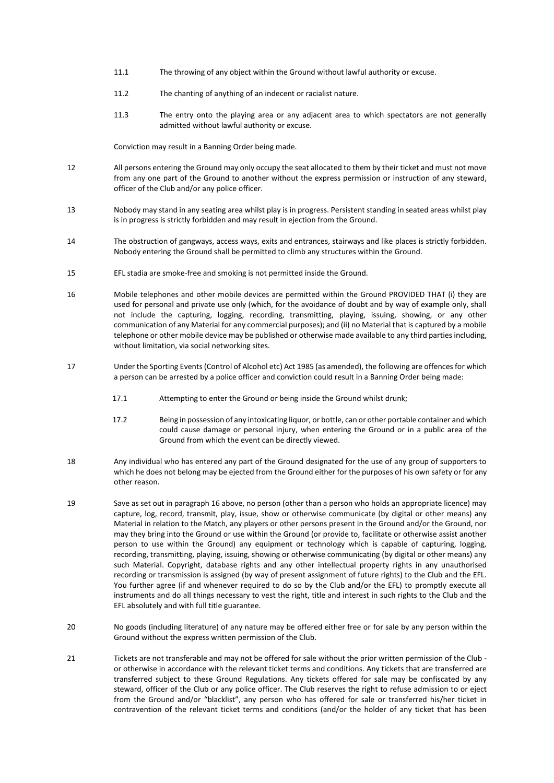- 11.1 The throwing of any object within the Ground without lawful authority or excuse.
- 11.2 The chanting of anything of an indecent or racialist nature.
- 11.3 The entry onto the playing area or any adjacent area to which spectators are not generally admitted without lawful authority or excuse.

Conviction may result in a Banning Order being made.

- 12 All persons entering the Ground may only occupy the seat allocated to them by their ticket and must not move from any one part of the Ground to another without the express permission or instruction of any steward, officer of the Club and/or any police officer.
- 13 Nobody may stand in any seating area whilst play is in progress. Persistent standing in seated areas whilst play is in progress is strictly forbidden and may result in ejection from the Ground.
- 14 The obstruction of gangways, access ways, exits and entrances, stairways and like places is strictly forbidden. Nobody entering the Ground shall be permitted to climb any structures within the Ground.
- 15 EFL stadia are smoke-free and smoking is not permitted inside the Ground.
- 16 Mobile telephones and other mobile devices are permitted within the Ground PROVIDED THAT (i) they are used for personal and private use only (which, for the avoidance of doubt and by way of example only, shall not include the capturing, logging, recording, transmitting, playing, issuing, showing, or any other communication of any Material for any commercial purposes); and (ii) no Material that is captured by a mobile telephone or other mobile device may be published or otherwise made available to any third parties including, without limitation, via social networking sites.
- 17 Under the Sporting Events (Control of Alcohol etc) Act 1985 (as amended), the following are offences for which a person can be arrested by a police officer and conviction could result in a Banning Order being made:
	- 17.1 Attempting to enter the Ground or being inside the Ground whilst drunk;
	- 17.2 Being in possession of any intoxicating liquor, or bottle, can or other portable container and which could cause damage or personal injury, when entering the Ground or in a public area of the Ground from which the event can be directly viewed.
- 18 Any individual who has entered any part of the Ground designated for the use of any group of supporters to which he does not belong may be ejected from the Ground either for the purposes of his own safety or for any other reason.
- 19 Save as set out in paragraph 16 above, no person (other than a person who holds an appropriate licence) may capture, log, record, transmit, play, issue, show or otherwise communicate (by digital or other means) any Material in relation to the Match, any players or other persons present in the Ground and/or the Ground, nor may they bring into the Ground or use within the Ground (or provide to, facilitate or otherwise assist another person to use within the Ground) any equipment or technology which is capable of capturing, logging, recording, transmitting, playing, issuing, showing or otherwise communicating (by digital or other means) any such Material. Copyright, database rights and any other intellectual property rights in any unauthorised recording or transmission is assigned (by way of present assignment of future rights) to the Club and the EFL. You further agree (if and whenever required to do so by the Club and/or the EFL) to promptly execute all instruments and do all things necessary to vest the right, title and interest in such rights to the Club and the EFL absolutely and with full title guarantee.
- 20 No goods (including literature) of any nature may be offered either free or for sale by any person within the Ground without the express written permission of the Club.
- 21 Tickets are not transferable and may not be offered for sale without the prior written permission of the Club or otherwise in accordance with the relevant ticket terms and conditions. Any tickets that are transferred are transferred subject to these Ground Regulations. Any tickets offered for sale may be confiscated by any steward, officer of the Club or any police officer. The Club reserves the right to refuse admission to or eject from the Ground and/or "blacklist", any person who has offered for sale or transferred his/her ticket in contravention of the relevant ticket terms and conditions (and/or the holder of any ticket that has been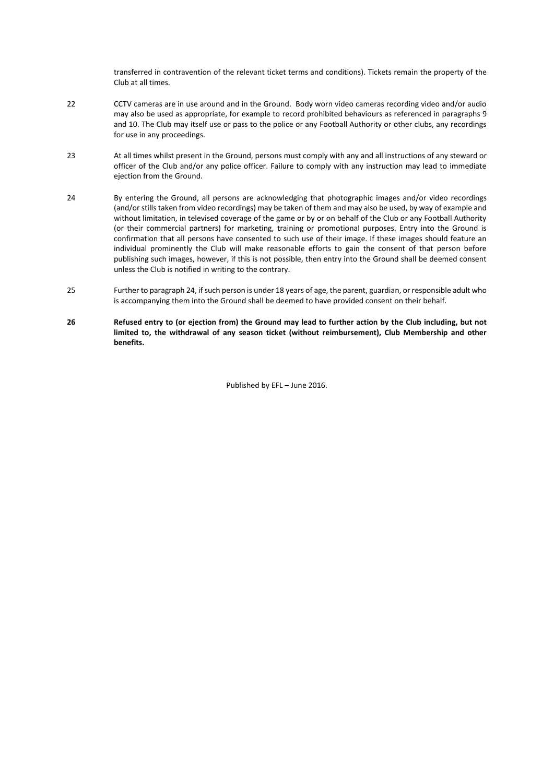transferred in contravention of the relevant ticket terms and conditions). Tickets remain the property of the Club at all times.

- 22 CCTV cameras are in use around and in the Ground. Body worn video cameras recording video and/or audio may also be used as appropriate, for example to record prohibited behaviours as referenced in paragraphs 9 and 10. The Club may itself use or pass to the police or any Football Authority or other clubs, any recordings for use in any proceedings.
- 23 At all times whilst present in the Ground, persons must comply with any and all instructions of any steward or officer of the Club and/or any police officer. Failure to comply with any instruction may lead to immediate ejection from the Ground.
- 24 By entering the Ground, all persons are acknowledging that photographic images and/or video recordings (and/or stills taken from video recordings) may be taken of them and may also be used, by way of example and without limitation, in televised coverage of the game or by or on behalf of the Club or any Football Authority (or their commercial partners) for marketing, training or promotional purposes. Entry into the Ground is confirmation that all persons have consented to such use of their image. If these images should feature an individual prominently the Club will make reasonable efforts to gain the consent of that person before publishing such images, however, if this is not possible, then entry into the Ground shall be deemed consent unless the Club is notified in writing to the contrary.
- 25 Further to paragraph 24, if such person is under 18 years of age, the parent, guardian, or responsible adult who is accompanying them into the Ground shall be deemed to have provided consent on their behalf.
- **26 Refused entry to (or ejection from) the Ground may lead to further action by the Club including, but not limited to, the withdrawal of any season ticket (without reimbursement), Club Membership and other benefits.**

Published by EFL – June 2016.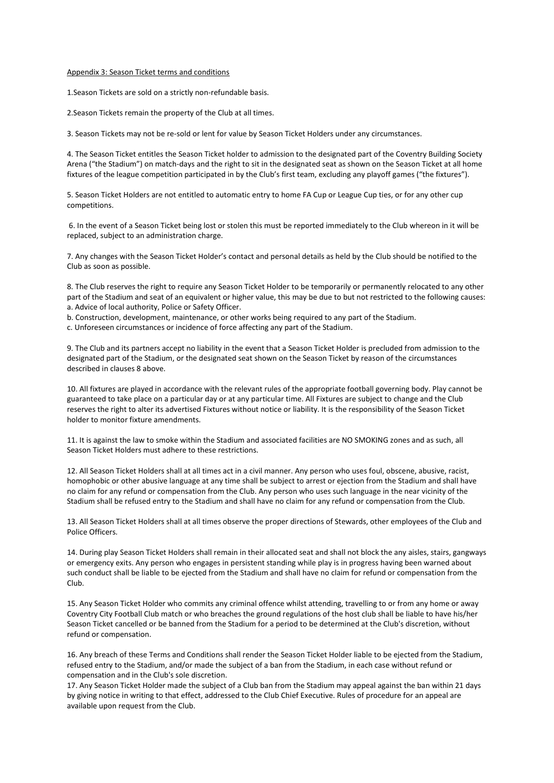#### Appendix 3: Season Ticket terms and conditions

1.Season Tickets are sold on a strictly non-refundable basis.

2.Season Tickets remain the property of the Club at all times.

3. Season Tickets may not be re-sold or lent for value by Season Ticket Holders under any circumstances.

4. The Season Ticket entitles the Season Ticket holder to admission to the designated part of the Coventry Building Society Arena ("the Stadium") on match-days and the right to sit in the designated seat as shown on the Season Ticket at all home fixtures of the league competition participated in by the Club's first team, excluding any playoff games ("the fixtures").

5. Season Ticket Holders are not entitled to automatic entry to home FA Cup or League Cup ties, or for any other cup competitions.

6. In the event of a Season Ticket being lost or stolen this must be reported immediately to the Club whereon in it will be replaced, subject to an administration charge.

7. Any changes with the Season Ticket Holder's contact and personal details as held by the Club should be notified to the Club as soon as possible.

8. The Club reserves the right to require any Season Ticket Holder to be temporarily or permanently relocated to any other part of the Stadium and seat of an equivalent or higher value, this may be due to but not restricted to the following causes: a. Advice of local authority, Police or Safety Officer.

b. Construction, development, maintenance, or other works being required to any part of the Stadium.

c. Unforeseen circumstances or incidence of force affecting any part of the Stadium.

9. The Club and its partners accept no liability in the event that a Season Ticket Holder is precluded from admission to the designated part of the Stadium, or the designated seat shown on the Season Ticket by reason of the circumstances described in clauses 8 above.

10. All fixtures are played in accordance with the relevant rules of the appropriate football governing body. Play cannot be guaranteed to take place on a particular day or at any particular time. All Fixtures are subject to change and the Club reserves the right to alter its advertised Fixtures without notice or liability. It is the responsibility of the Season Ticket holder to monitor fixture amendments.

11. It is against the law to smoke within the Stadium and associated facilities are NO SMOKING zones and as such, all Season Ticket Holders must adhere to these restrictions.

12. All Season Ticket Holders shall at all times act in a civil manner. Any person who uses foul, obscene, abusive, racist, homophobic or other abusive language at any time shall be subject to arrest or ejection from the Stadium and shall have no claim for any refund or compensation from the Club. Any person who uses such language in the near vicinity of the Stadium shall be refused entry to the Stadium and shall have no claim for any refund or compensation from the Club.

13. All Season Ticket Holders shall at all times observe the proper directions of Stewards, other employees of the Club and Police Officers.

14. During play Season Ticket Holders shall remain in their allocated seat and shall not block the any aisles, stairs, gangways or emergency exits. Any person who engages in persistent standing while play is in progress having been warned about such conduct shall be liable to be ejected from the Stadium and shall have no claim for refund or compensation from the Club.

15. Any Season Ticket Holder who commits any criminal offence whilst attending, travelling to or from any home or away Coventry City Football Club match or who breaches the ground regulations of the host club shall be liable to have his/her Season Ticket cancelled or be banned from the Stadium for a period to be determined at the Club's discretion, without refund or compensation.

16. Any breach of these Terms and Conditions shall render the Season Ticket Holder liable to be ejected from the Stadium, refused entry to the Stadium, and/or made the subject of a ban from the Stadium, in each case without refund or compensation and in the Club's sole discretion.

17. Any Season Ticket Holder made the subject of a Club ban from the Stadium may appeal against the ban within 21 days by giving notice in writing to that effect, addressed to the Club Chief Executive. Rules of procedure for an appeal are available upon request from the Club.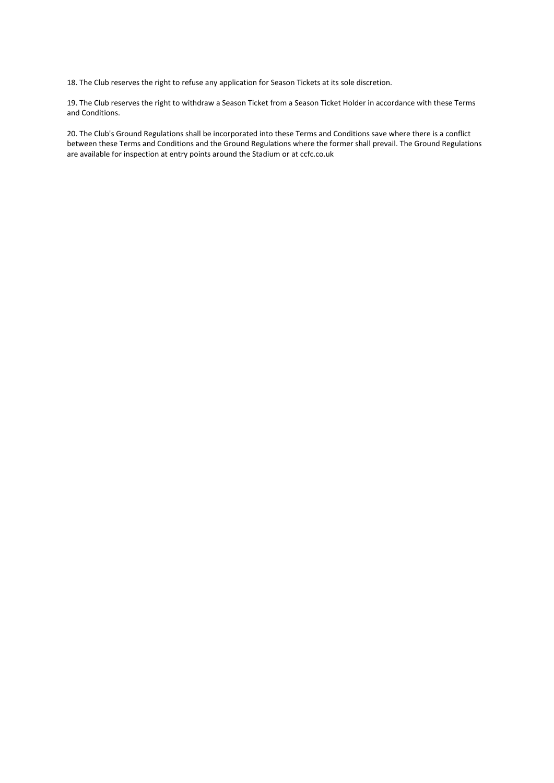18. The Club reserves the right to refuse any application for Season Tickets at its sole discretion.

19. The Club reserves the right to withdraw a Season Ticket from a Season Ticket Holder in accordance with these Terms and Conditions.

20. The Club's Ground Regulations shall be incorporated into these Terms and Conditions save where there is a conflict between these Terms and Conditions and the Ground Regulations where the former shall prevail. The Ground Regulations are available for inspection at entry points around the Stadium or at ccfc.co.uk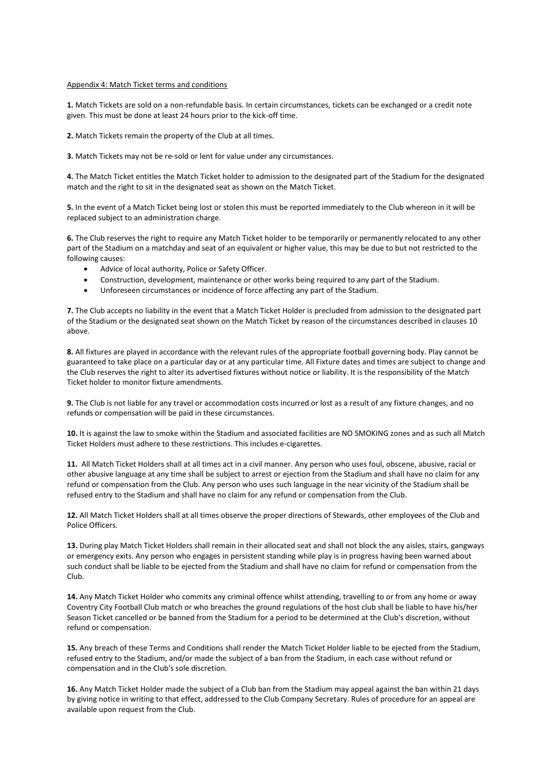#### Appendix 4: Match Ticket terms and conditions

**1.** Match Tickets are sold on a non-refundable basis. In certain circumstances, tickets can be exchanged or a credit note given. This must be done at least 24 hours prior to the kick-off time.

**2.** Match Tickets remain the property of the Club at all times.

**3.** Match Tickets may not be re-sold or lent for value under any circumstances.

**4.** The Match Ticket entitles the Match Ticket holder to admission to the designated part of the Stadium for the designated match and the right to sit in the designated seat as shown on the Match Ticket.

**5.** In the event of a Match Ticket being lost or stolen this must be reported immediately to the Club whereon in it will be replaced subject to an administration charge.

**6.** The Club reserves the right to require any Match Ticket holder to be temporarily or permanently relocated to any other part of the Stadium on a matchday and seat of an equivalent or higher value, this may be due to but not restricted to the following causes:

- Advice of local authority, Police or Safety Officer.
- Construction, development, maintenance or other works being required to any part of the Stadium.
- Unforeseen circumstances or incidence of force affecting any part of the Stadium.

**7.** The Club accepts no liability in the event that a Match Ticket Holder is precluded from admission to the designated part of the Stadium or the designated seat shown on the Match Ticket by reason of the circumstances described in clauses 10 above.

**8.** All fixtures are played in accordance with the relevant rules of the appropriate football governing body. Play cannot be guaranteed to take place on a particular day or at any particular time. All Fixture dates and times are subject to change and the Club reserves the right to alter its advertised fixtures without notice or liability. It is the responsibility of the Match Ticket holder to monitor fixture amendments.

**9.** The Club is not liable for any travel or accommodation costs incurred or lost as a result of any fixture changes, and no refunds or compensation will be paid in these circumstances.

**10.** It is against the law to smoke within the Stadium and associated facilities are NO SMOKING zones and as such all Match Ticket Holders must adhere to these restrictions. This includes e-cigarettes.

**11.** All Match Ticket Holders shall at all times act in a civil manner. Any person who uses foul, obscene, abusive, racial or other abusive language at any time shall be subject to arrest or ejection from the Stadium and shall have no claim for any refund or compensation from the Club. Any person who uses such language in the near vicinity of the Stadium shall be refused entry to the Stadium and shall have no claim for any refund or compensation from the Club.

**12.** All Match Ticket Holders shall at all times observe the proper directions of Stewards, other employees of the Club and Police Officers.

**13.** During play Match Ticket Holders shall remain in their allocated seat and shall not block the any aisles, stairs, gangways or emergency exits. Any person who engages in persistent standing while play is in progress having been warned about such conduct shall be liable to be ejected from the Stadium and shall have no claim for refund or compensation from the Club.

**14.** Any Match Ticket Holder who commits any criminal offence whilst attending, travelling to or from any home or away Coventry City Football Club match or who breaches the ground regulations of the host club shall be liable to have his/her Season Ticket cancelled or be banned from the Stadium for a period to be determined at the Club's discretion, without refund or compensation.

**15.** Any breach of these Terms and Conditions shall render the Match Ticket Holder liable to be ejected from the Stadium, refused entry to the Stadium, and/or made the subject of a ban from the Stadium, in each case without refund or compensation and in the Club's sole discretion.

**16.** Any Match Ticket Holder made the subject of a Club ban from the Stadium may appeal against the ban within 21 days by giving notice in writing to that effect, addressed to the Club Company Secretary. Rules of procedure for an appeal are available upon request from the Club.